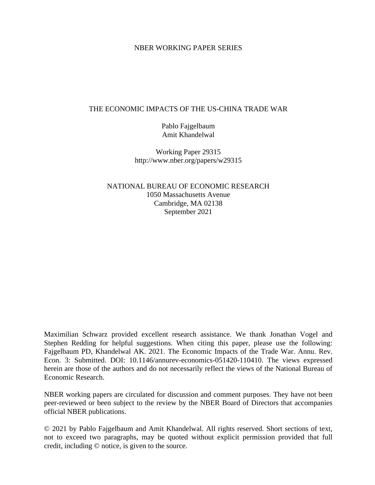## NBER WORKING PAPER SERIES

## THE ECONOMIC IMPACTS OF THE US-CHINA TRADE WAR

Pablo Fajgelbaum Amit Khandelwal

Working Paper 29315 http://www.nber.org/papers/w29315

NATIONAL BUREAU OF ECONOMIC RESEARCH 1050 Massachusetts Avenue Cambridge, MA 02138 September 2021

Maximilian Schwarz provided excellent research assistance. We thank Jonathan Vogel and Stephen Redding for helpful suggestions. When citing this paper, please use the following: Fajgelbaum PD, Khandelwal AK. 2021. The Economic Impacts of the Trade War. Annu. Rev. Econ. 3: Submitted. DOI: 10.1146/annurev-economics-051420-110410. The views expressed herein are those of the authors and do not necessarily reflect the views of the National Bureau of Economic Research.

NBER working papers are circulated for discussion and comment purposes. They have not been peer-reviewed or been subject to the review by the NBER Board of Directors that accompanies official NBER publications.

© 2021 by Pablo Fajgelbaum and Amit Khandelwal. All rights reserved. Short sections of text, not to exceed two paragraphs, may be quoted without explicit permission provided that full credit, including © notice, is given to the source.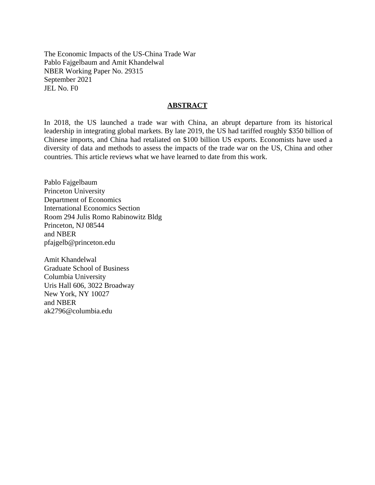The Economic Impacts of the US-China Trade War Pablo Fajgelbaum and Amit Khandelwal NBER Working Paper No. 29315 September 2021 JEL No. F0

## **ABSTRACT**

In 2018, the US launched a trade war with China, an abrupt departure from its historical leadership in integrating global markets. By late 2019, the US had tariffed roughly \$350 billion of Chinese imports, and China had retaliated on \$100 billion US exports. Economists have used a diversity of data and methods to assess the impacts of the trade war on the US, China and other countries. This article reviews what we have learned to date from this work.

Pablo Fajgelbaum Princeton University Department of Economics International Economics Section Room 294 Julis Romo Rabinowitz Bldg Princeton, NJ 08544 and NBER pfajgelb@princeton.edu

Amit Khandelwal Graduate School of Business Columbia University Uris Hall 606, 3022 Broadway New York, NY 10027 and NBER ak2796@columbia.edu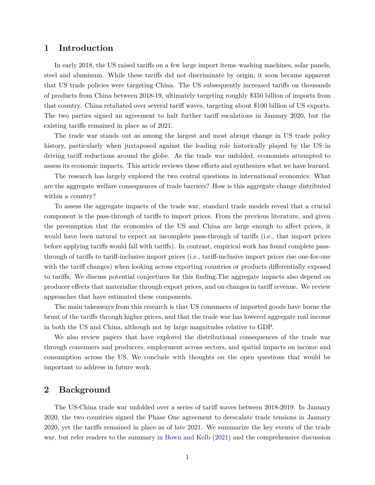# **1 Introduction**

In early 2018, the US raised tariffs on a few large import items–washing machines, solar panels, steel and aluminum. While these tariffs did not discriminate by origin, it soon became apparent that US trade policies were targeting China. The US subsequently increased tariffs on thousands of products from China between 2018-19, ultimately targeting roughly \$350 billion of imports from that country. China retaliated over several tariff waves, targeting about \$100 billion of US exports. The two parties signed an agreement to halt further tariff escalations in January 2020, but the existing tariffs remained in place as of 2021.

The trade war stands out as among the largest and most abrupt change in US trade policy history, particularly when juxtaposed against the leading role historically played by the US in driving tariff reductions around the globe. As the trade war unfolded, economists attempted to assess its economic impacts. This article reviews these efforts and synthesizes what we have learned.

The research has largely explored the two central questions in international economics: What are the aggregate welfare consequences of trade barriers? How is this aggregate change distributed within a country?

To assess the aggregate impacts of the trade war, standard trade models reveal that a crucial component is the pass-through of tariffs to import prices. From the previous literature, and given the presumption that the economies of the US and China are large enough to affect prices, it would have been natural to expect an incomplete pass-through of tariffs (i.e., that import prices before applying tariffs would fall with tariffs). In contrast, empirical work has found complete passthrough of tariffs to tariff-inclusive import prices (i.e., tariff-inclusive import prices rise one-for-one with the tariff changes) when looking across exporting countries or products differentially exposed to tariffs. We discuss potential conjectures for this finding.The aggregate impacts also depend on producer effects that materialize through export prices, and on changes in tariff revenue. We review approaches that have estimated these components.

The main takeaways from this research is that US consumers of imported goods have borne the brunt of the tariffs through higher prices, and that the trade war has lowered aggregate real income in both the US and China, although not by large magnitudes relative to GDP.

We also review papers that have explored the distributional consequences of the trade war through consumers and producers, employment across sectors, and spatial impacts on income and consumption across the US. We conclude with thoughts on the open questions that would be important to address in future work.

## <span id="page-2-0"></span>**2 Background**

The US-China trade war unfolded over a series of tariff waves between 2018-2019. In January 2020, the two countries signed the Phase One agreement to deescalate trade tensions in January 2020, yet the tariffs remained in place as of late 2021. We summarize the key events of the trade war, but refer readers to the summary in [Bown and Kolb](#page-23-0) [\(2021\)](#page-23-0) and the comprehensive discussion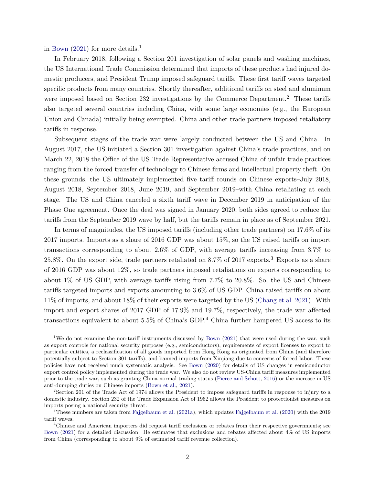in [Bown](#page-23-1)  $(2021)$  for more details.<sup>1</sup>

In February 2018, following a Section 201 investigation of solar panels and washing machines, the US International Trade Commission determined that imports of these products had injured domestic producers, and President Trump imposed safeguard tariffs. These first tariff waves targeted specific products from many countries. Shortly thereafter, additional tariffs on steel and aluminum were imposed based on Section 232 investigations by the Commerce Department.<sup>2</sup> These tariffs also targeted several countries including China, with some large economies (e.g., the European Union and Canada) initially being exempted. China and other trade partners imposed retaliatory tariffs in response.

Subsequent stages of the trade war were largely conducted between the US and China. In August 2017, the US initiated a Section 301 investigation against China's trade practices, and on March 22, 2018 the Office of the US Trade Representative accused China of unfair trade practices ranging from the forced transfer of technology to Chinese firms and intellectual property theft. On these grounds, the US ultimately implemented five tariff rounds on Chinese exports–July 2018, August 2018, September 2018, June 2019, and September 2019–with China retaliating at each stage. The US and China canceled a sixth tariff wave in December 2019 in anticipation of the Phase One agreement. Once the deal was signed in January 2020, both sides agreed to reduce the tariffs from the September 2019 wave by half, but the tariffs remain in place as of September 2021.

In terms of magnitudes, the US imposed tariffs (including other trade partners) on 17.6% of its 2017 imports. Imports as a share of 2016 GDP was about 15%, so the US raised tariffs on import transactions corresponding to about 2.6% of GDP, with average tariffs increasing from 3.7% to 25.8%. On the export side, trade partners retaliated on  $8.7\%$  of 2017 exports.<sup>3</sup> Exports as a share of 2016 GDP was about 12%, so trade partners imposed retaliations on exports corresponding to about 1% of US GDP, with average tariffs rising from 7.7% to 20.8%. So, the US and Chinese tariffs targeted imports and exports amounting to 3.6% of US GDP. China raised tariffs on about 11% of imports, and about 18% of their exports were targeted by the US [\(Chang et al. 2021\)](#page-24-0). With import and export shares of 2017 GDP of 17.9% and 19.7%, respectively, the trade war affected transactions equivalent to about 5.5% of China's GDP.<sup>4</sup> China further hampered US access to its

<sup>&</sup>lt;sup>1</sup>We do not examine the non-tariff instruments discussed by [Bown](#page-23-1) [\(2021\)](#page-23-1) that were used during the war, such as export controls for national security purposes (e.g., semiconductors), requirements of export licenses to export to particular entities, a reclassification of all goods imported from Hong Kong as originated from China (and therefore potentially subject to Section 301 tariffs), and banned imports from Xinjiang due to concerns of forced labor. These policies have not received much systematic analysis. See [Bown](#page-23-2) [\(2020\)](#page-23-2) for details of US changes in semiconductor export control policy implemented during the trade war. We also do not review US-China tariff measures implemented prior to the trade war, such as granting China normal trading status [\(Pierce and Schott,](#page-27-0) [2016\)](#page-27-0) or the increase in US anti-dumping duties on Chinese imports [\(Bown et al.,](#page-23-3) [2021\)](#page-23-3).

<sup>&</sup>lt;sup>2</sup>Section 201 of the Trade Act of 1974 allows the President to impose safeguard tariffs in response to injury to a domestic industry. Section 232 of the Trade Expansion Act of 1962 allows the President to protectionist measures on imports posing a national security threat.

<sup>3</sup>These numbers are taken from [Fajgelbaum et al.](#page-25-0) [\(2021a\)](#page-25-0), which updates [Fajgelbaum et al.](#page-25-1) [\(2020\)](#page-25-1) with the 2019 tariff waves.

<sup>&</sup>lt;sup>4</sup>Chinese and American importers did request tariff exclusions or rebates from their respective governments; see [Bown](#page-23-1) [\(2021\)](#page-23-1) for a detailed discussion. He estimates that exclusions and rebates affected about 4% of US imports from China (corresponding to about 9% of estimated tariff revenue collection).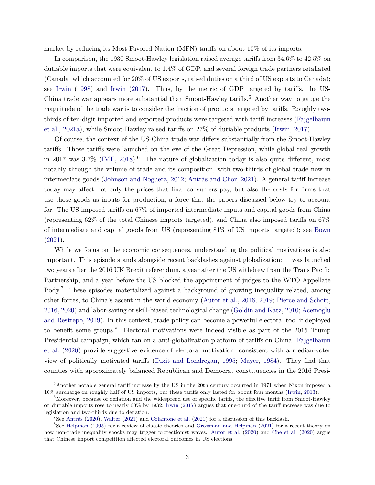market by reducing its Most Favored Nation (MFN) tariffs on about 10% of its imports.

In comparison, the 1930 Smoot-Hawley legislation raised average tariffs from 34.6% to 42.5% on dutiable imports that were equivalent to 1.4% of GDP, and several foreign trade partners retaliated (Canada, which accounted for 20% of US exports, raised duties on a third of US exports to Canada); see [Irwin](#page-26-0) [\(1998\)](#page-26-0) and [Irwin](#page-26-1) [\(2017\)](#page-26-1). Thus, by the metric of GDP targeted by tariffs, the US-China trade war appears more substantial than Smoot-Hawley tariffs.<sup>5</sup> Another way to gauge the magnitude of the trade war is to consider the fraction of products targeted by tariffs. Roughly twothirds of ten-digit imported and exported products were targeted with tariff increases [\(Fajgelbaum](#page-25-0) [et al.,](#page-25-0) [2021a\)](#page-25-0), while Smoot-Hawley raised tariffs on 27% of dutiable products [\(Irwin,](#page-26-1) [2017\)](#page-26-1).

Of course, the context of the US-China trade war differs substantially from the Smoot-Hawley tariffs. Those tariffs were launched on the eve of the Great Depression, while global real growth in 2017 was  $3.7\%$  [\(IMF,](#page-26-2) [2018\)](#page-26-2).<sup>6</sup> The nature of globalization today is also quite different, most notably through the volume of trade and its composition, with two-thirds of global trade now in intermediate goods [\(Johnson and Noguera,](#page-26-3) [2012;](#page-26-3) [Antràs and Chor,](#page-22-0) [2021\)](#page-22-0). A general tariff increase today may affect not only the prices that final consumers pay, but also the costs for firms that use those goods as inputs for production, a force that the papers discussed below try to account for. The US imposed tariffs on 67% of imported intermediate inputs and capital goods from China (representing 62% of the total Chinese imports targeted), and China also imposed tariffs on 67% of intermediate and capital goods from US (representing 81% of US imports targeted); see [Bown](#page-23-1) [\(2021\)](#page-23-1).

While we focus on the economic consequences, understanding the political motivations is also important. This episode stands alongside recent backlashes against globalization: it was launched two years after the 2016 UK Brexit referendum, a year after the US withdrew from the Trans Pacific Partnership, and a year before the US blocked the appointment of judges to the WTO Appellate Body.<sup>7</sup> These episodes materialized against a background of growing inequality related, among other forces, to China's ascent in the world economy [\(Autor et al.,](#page-22-1) [2016,](#page-22-1) [2019;](#page-22-2) [Pierce and Schott,](#page-27-0) [2016,](#page-27-0) [2020\)](#page-27-1) and labor-saving or skill-biased technological change [\(Goldin and Katz,](#page-25-2) [2010;](#page-25-2) [Acemoglu](#page-22-3) [and Restrepo,](#page-22-3) [2019\)](#page-22-3). In this context, trade policy can become a powerful electoral tool if deployed to benefit some groups.<sup>8</sup> Electoral motivations were indeed visible as part of the 2016 Trump Presidential campaign, which ran on a anti-globalization platform of tariffs on China. [Fajgelbaum](#page-25-1) [et al.](#page-25-1) [\(2020\)](#page-25-1) provide suggestive evidence of electoral motivation; consistent with a median-voter view of politically motivated tariffs [\(Dixit and Londregan,](#page-24-1) [1995;](#page-24-1) [Mayer,](#page-27-2) [1984\)](#page-27-2). They find that counties with approximately balanced Republican and Democrat constituencies in the 2016 Presi-

 $5$ Another notable general tariff increase by the US in the 20th century occurred in 1971 when Nixon imposed a 10% surcharge on roughly half of US imports, but these tariffs only lasted for about four months [\(Irwin,](#page-26-4) [2013\)](#page-26-4).

 $6$ Moreover, because of deflation and the widespread use of specific tariffs, the effective tariff from Smoot-Hawley on dutiable imports rose to nearly 60% by 1932; [Irwin](#page-26-1) [\(2017\)](#page-26-1) argues that one-third of the tariff increase was due to legislation and two-thirds due to deflation.

<sup>7</sup>See [Antràs](#page-22-4) [\(2020\)](#page-22-4), [Walter](#page-28-0) [\(2021\)](#page-28-0) and [Colantone et al.](#page-24-2) [\(2021\)](#page-24-2) for a discussion of this backlash.

<sup>8</sup>See [Helpman](#page-26-5) [\(1995\)](#page-26-5) for a review of classic theories and [Grossman and Helpman](#page-25-3) [\(2021\)](#page-25-3) for a recent theory on how non-trade inequality shocks may trigger protectionist waves. [Autor et al.](#page-22-5) [\(2020\)](#page-22-5) and [Che et al.](#page-24-3) [\(2020\)](#page-24-3) argue that Chinese import competition affected electoral outcomes in US elections.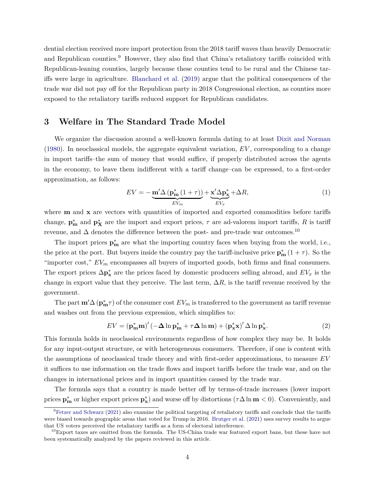dential election received more import protection from the 2018 tariff waves than heavily Democratic and Republican counties.<sup>9</sup> However, they also find that China's retaliatory tariffs coincided with Republican-leaning counties, largely because these counties tend to be rural and the Chinese tariffs were large in agriculture. [Blanchard et al.](#page-23-4) [\(2019\)](#page-23-4) argue that the political consequences of the trade war did not pay off for the Republican party in 2018 Congressional election, as counties more exposed to the retaliatory tariffs reduced support for Republican candidates.

## **3 Welfare in The Standard Trade Model**

We organize the discussion around a well-known formula dating to at least [Dixit and Norman](#page-25-4) [\(1980\)](#page-25-4). In neoclassical models, the aggregate equivalent variation, *EV* , corresponding to a change in import tariffs–the sum of money that would suffice, if properly distributed across the agents in the economy, to leave them indifferent with a tariff change–can be expressed, to a first-order approximation, as follows:

<span id="page-5-1"></span>
$$
EV = -\underbrace{\mathbf{m}' \Delta \left( \mathbf{p_m^*} \left( 1 + \tau \right) \right)}_{EV_m} + \underbrace{\mathbf{x}' \Delta \mathbf{p_x^*}}_{EV_x} + \Delta R, \tag{1}
$$

where **m** and **x** are vectors with quantities of imported and exported commodities before tariffs change,  $\mathbf{p}_{\mathbf{m}}^*$  and  $\mathbf{p}_{\mathbf{X}}^*$  are the import and export prices,  $\tau$  are ad-valorem import tariffs,  $R$  is tariff revenue, and  $\Delta$  denotes the difference between the post- and pre-trade war outcomes.<sup>10</sup>

The import prices  $\mathbf{p}_{\mathbf{m}}^*$  are what the importing country faces when buying from the world, i.e., the price at the port. But buyers inside the country pay the tariff-inclusive price  $\mathbf{p}_{\mathbf{m}}^*$  (1 + *τ*). So the "importer cost,"  $EV_m$  encompasses all buyers of imported goods, both firms and final consumers. The export prices  $\Delta p_x^*$  are the prices faced by domestic producers selling abroad, and  $EV_x$  is the change in export value that they perceive. The last term,  $\Delta R$ , is the tariff revenue received by the government.

The part  $m' \Delta (p_m^* \tau)$  of the consumer cost  $EV_m$  is transferred to the government as tariff revenue and washes out from the previous expression, which simplifies to:

<span id="page-5-0"></span>
$$
EV = (\mathbf{p}_{\mathbf{m}}^* \mathbf{m})' (-\Delta \ln \mathbf{p}_{\mathbf{m}}^* + \tau \Delta \ln \mathbf{m}) + (\mathbf{p}_{\mathbf{x}}^* \mathbf{x})' \Delta \ln \mathbf{p}_{\mathbf{x}}^*.
$$
 (2)

This formula holds in neoclassical environments regardless of how complex they may be. It holds for any input-output structure, or with heterogeneous consumers. Therefore, if one is content with the assumptions of neoclassical trade theory and with first-order approximations, to measure *EV* it suffices to use information on the trade flows and import tariffs before the trade war, and on the changes in international prices and in import quantities caused by the trade war.

The formula says that a country is made better off by terms-of-trade increases (lower import **prices**  $\mathbf{p}_{\mathbf{m}}^*$  or higher export prices  $\mathbf{p}_{\mathbf{x}}^*$  and worse off by distortions  $(\tau \Delta \ln \mathbf{m} < 0)$ . Conveniently, and

 ${}^{9}$ [Fetzer and Schwarz](#page-25-5) [\(2021\)](#page-25-5) also examine the political targeting of retaliatory tariffs and conclude that the tariffs were biased towards geographic areas that voted for Trump in 2016. [Brutger et al.](#page-24-4) [\(2021\)](#page-24-4) uses survey results to argue that US voters perceived the retaliatory tariffs as a form of electoral interference.

 $10E$ <sub>Export taxes are omitted from the formula. The US-China trade war featured export bans, but these have not</sub> been systematically analyzed by the papers reviewed in this article.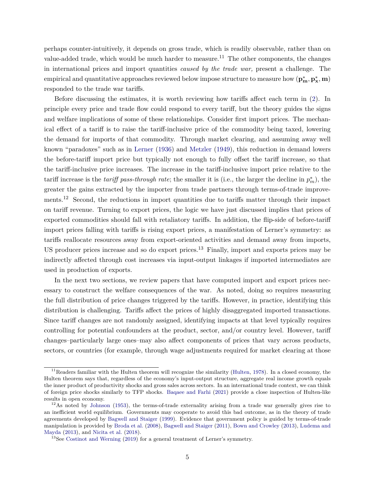perhaps counter-intuitively, it depends on gross trade, which is readily observable, rather than on value-added trade, which would be much harder to measure.<sup>11</sup> The other components, the changes in international prices and import quantities *caused by the trade war,* present a challenge. The  $p_{\mathbf{x}}^*, \mathbf{p}_{\mathbf{x}}^*, \mathbf{m}$  ( $\mathbf{p}_{\mathbf{x}}^*, \mathbf{p}_{\mathbf{x}}^*, \mathbf{m}$ ) responded to the trade war tariffs.

Before discussing the estimates, it is worth reviewing how tariffs affect each term in [\(2\)](#page-5-0). In principle every price and trade flow could respond to every tariff, but the theory guides the signs and welfare implications of some of these relationships. Consider first import prices. The mechanical effect of a tariff is to raise the tariff-inclusive price of the commodity being taxed, lowering the demand for imports of that commodity. Through market clearing, and assuming away well known "paradoxes" such as in [Lerner](#page-26-6) [\(1936\)](#page-26-6) and [Metzler](#page-27-3) [\(1949\)](#page-27-3), this reduction in demand lowers the before-tariff import price but typically not enough to fully offset the tariff increase, so that the tariff-inclusive price increases. The increase in the tariff-inclusive import price relative to the tariff increase is the *tariff pass-through rate*; the smaller it is (i.e., the larger the decline in  $p_m^*$ ), the greater the gains extracted by the importer from trade partners through terms-of-trade improvements.<sup>12</sup> Second, the reductions in import quantities due to tariffs matter through their impact on tariff revenue. Turning to export prices, the logic we have just discussed implies that prices of exported commodities should fall with retaliatory tariffs. In addition, the flip-side of before-tariff import prices falling with tariffs is rising export prices, a manifestation of Lerner's symmetry: as tariffs reallocate resources away from export-oriented activities and demand away from imports, US producer prices increase and so do export prices.<sup>13</sup> Finally, import and exports prices may be indirectly affected through cost increases via input-output linkages if imported intermediates are used in production of exports.

In the next two sections, we review papers that have computed import and export prices necessary to construct the welfare consequences of the war. As noted, doing so requires measuring the full distribution of price changes triggered by the tariffs. However, in practice, identifying this distribution is challenging. Tariffs affect the prices of highly disaggregated imported transactions. Since tariff changes are not randomly assigned, identifying impacts at that level typically requires controlling for potential confounders at the product, sector, and/or country level. However, tariff changes–particularly large ones–may also affect components of prices that vary across products, sectors, or countries (for example, through wage adjustments required for market clearing at those

 $11$ Readers familiar with the Hulten theorem will recognize the similarity [\(Hulten,](#page-26-7) [1978\)](#page-26-7). In a closed economy, the Hulten theorem says that, regardless of the economy's input-output structure, aggregate real income growth equals the inner product of productivity shocks and gross sales across sectors. In an international trade context, we can think of foreign price shocks similarly to TFP shocks. [Baqaee and Farhi](#page-23-5) [\(2021\)](#page-23-5) provide a close inspection of Hulten-like results in open economy.

<sup>&</sup>lt;sup>12</sup>As noted by [Johnson](#page-26-8) [\(1953\)](#page-26-8), the terms-of-trade externality arising from a trade war generally gives rise to an inefficient world equilibrium. Governments may cooperate to avoid this bad outcome, as in the theory of trade agreements developed by [Bagwell and Staiger](#page-22-6) [\(1999\)](#page-22-6). Evidence that government policy is guided by terms-of-trade manipulation is provided by [Broda et al.](#page-24-5) [\(2008\)](#page-24-5), [Bagwell and Staiger](#page-23-6) [\(2011\)](#page-23-6), [Bown and Crowley](#page-23-7) [\(2013\)](#page-23-7), [Ludema and](#page-27-4) [Mayda](#page-27-4) [\(2013\)](#page-27-4), and [Nicita et al.](#page-27-5) [\(2018\)](#page-27-5).

<sup>&</sup>lt;sup>13</sup>See [Costinot and Werning](#page-24-6) [\(2019\)](#page-24-6) for a general treatment of Lerner's symmetry.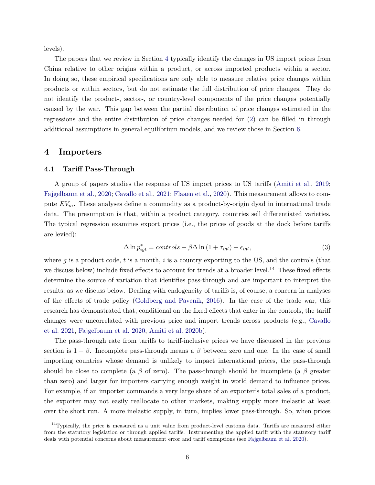levels).

The papers that we review in Section [4](#page-7-0) typically identify the changes in US import prices from China relative to other origins within a product, or across imported products within a sector. In doing so, these empirical specifications are only able to measure relative price changes within products or within sectors, but do not estimate the full distribution of price changes. They do not identify the product-, sector-, or country-level components of the price changes potentially caused by the war. This gap between the partial distribution of price changes estimated in the regressions and the entire distribution of price changes needed for [\(2\)](#page-5-0) can be filled in through additional assumptions in general equilibrium models, and we review those in Section [6.](#page-17-0)

## <span id="page-7-0"></span>**4 Importers**

#### <span id="page-7-2"></span>**4.1 Tariff Pass-Through**

A group of papers studies the response of US import prices to US tariffs [\(Amiti et al.,](#page-22-7) [2019;](#page-22-7) [Fajgelbaum et al.,](#page-25-1) [2020;](#page-25-1) [Cavallo et al.,](#page-24-7) [2021;](#page-24-7) [Flaaen et al.,](#page-25-6) [2020\)](#page-25-6). This measurement allows to compute *EVm*. These analyses define a commodity as a product-by-origin dyad in international trade data. The presumption is that, within a product category, countries sell differentiated varieties. The typical regression examines export prices (i.e., the prices of goods at the dock before tariffs are levied):

<span id="page-7-1"></span>
$$
\Delta \ln p_{igt}^* = controls - \beta \Delta \ln (1 + \tau_{igt}) + \epsilon_{igt}, \qquad (3)
$$

where *g* is a product code, *t* is a month, *i* is a country exporting to the US, and the controls (that we discuss below) include fixed effects to account for trends at a broader level.<sup>14</sup> These fixed effects determine the source of variation that identifies pass-through and are important to interpret the results, as we discuss below. Dealing with endogeneity of tariffs is, of course, a concern in analyses of the effects of trade policy [\(Goldberg and Pavcnik,](#page-25-7) [2016\)](#page-25-7). In the case of the trade war, this research has demonstrated that, conditional on the fixed effects that enter in the controls, the tariff changes were uncorrelated with previous price and import trends across products (e.g., [Cavallo](#page-24-7) [et al. 2021,](#page-24-7) [Fajgelbaum et al. 2020,](#page-25-1) [Amiti et al. 2020b\)](#page-22-8).

The pass-through rate from tariffs to tariff-inclusive prices we have discussed in the previous section is  $1 - \beta$ . Incomplete pass-through means a  $\beta$  between zero and one. In the case of small importing countries whose demand is unlikely to impact international prices, the pass-through should be close to complete (a  $\beta$  of zero). The pass-through should be incomplete (a  $\beta$  greater than zero) and larger for importers carrying enough weight in world demand to influence prices. For example, if an importer commands a very large share of an exporter's total sales of a product, the exporter may not easily reallocate to other markets, making supply more inelastic at least over the short run. A more inelastic supply, in turn, implies lower pass-through. So, when prices

 $14$ Typically, the price is measured as a unit value from product-level customs data. Tariffs are measured either from the statutory legislation or through applied tariffs. Instrumenting the applied tariff with the statutory tariff deals with potential concerns about measurement error and tariff exemptions (see [Fajgelbaum et al. 2020\)](#page-25-1).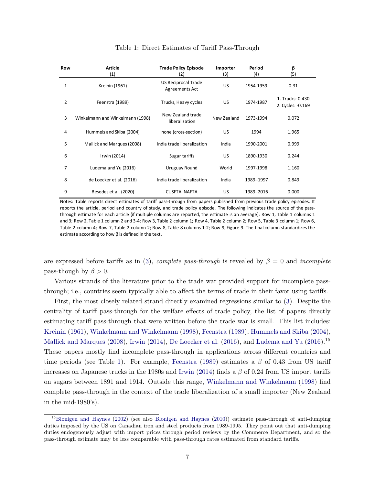<span id="page-8-0"></span>

| Row | <b>Article</b><br>(1)            | <b>Trade Policy Episode</b><br>(2)    | Importer<br>(3) | Period<br>(4) | β<br>(5)                              |
|-----|----------------------------------|---------------------------------------|-----------------|---------------|---------------------------------------|
| 1   | Kreinin (1961)                   | US Reciprocal Trade<br>Agreements Act | <b>US</b>       | 1954-1959     | 0.31                                  |
| 2   | Feenstra (1989)                  | Trucks, Heavy cycles                  | US.             | 1974-1987     | 1. Trucks: 0.430<br>2. Cycles: -0.169 |
| 3   | Winkelmann and Winkelmann (1998) | New Zealand trade<br>liberalization   | New Zealand     | 1973-1994     | 0.072                                 |
| 4   | Hummels and Skiba (2004)         | none (cross-section)                  | US.             | 1994          | 1.965                                 |
| 5   | Mallick and Marques (2008)       | India trade liberalization            | India           | 1990-2001     | 0.999                                 |
| 6   | Irwin (2014)                     | Sugar tariffs                         | US.             | 1890-1930     | 0.244                                 |
| 7   | Ludema and Yu (2016)             | Uruguay Round                         | World           | 1997-1998     | 1.160                                 |
| 8   | de Loecker et al. (2016)         | India trade liberalization            | India           | 1989-1997     | 0.849                                 |
| 9   | Besedes et al. (2020)            | CUSFTA, NAFTA                         | <b>US</b>       | 1989-2016     | 0.000                                 |

#### Table 1: Direct Estimates of Tariff Pass-Through

Notes: Table reports direct estimates of tariff pass-through from papers published from previous trade policy episodes. It reports the article, period and country of study, and trade policy episode. The following indicates the source of the passthrough estimate for each article (if multiple columns are reported, the estimate is an average): Row 1, Table 1 columns 1 and 3; Row 2, Table 1 column 2 and 3-4; Row 3, Table 2 column 1; Row 4, Table 2 column 2; Row 5, Table 3 column 1; Row 6, Table 2 column 4; Row 7, Table 2 column 2; Row 8, Table 8 columns 1-2; Row 9, Figure 9. The final column standardizesthe estimate according to how β is defined in the text.

are expressed before tariffs as in [\(3\)](#page-7-1), *complete pass-through* is revealed by  $\beta = 0$  and *incomplete* pass-though by  $\beta > 0$ .

Various strands of the literature prior to the trade war provided support for incomplete passthrough; i.e., countries seem typically able to affect the terms of trade in their favor using tariffs.

First, the most closely related strand directly examined regressions similar to [\(3\)](#page-7-1). Despite the centrality of tariff pass-through for the welfare effects of trade policy, the list of papers directly estimating tariff pass-through that were written before the trade war is small. This list includes: [Kreinin](#page-26-9) [\(1961\)](#page-26-9), [Winkelmann and Winkelmann](#page-28-1) [\(1998\)](#page-28-1), [Feenstra](#page-25-8) [\(1989\)](#page-25-8), [Hummels and Skiba](#page-26-10) [\(2004\)](#page-26-10), [Mallick and Marques](#page-27-6) [\(2008\)](#page-27-6), [Irwin](#page-26-11) [\(2014\)](#page-26-11), [De Loecker et al.](#page-24-8) [\(2016\)](#page-27-7), and [Ludema and Yu](#page-27-7) (2016).<sup>15</sup> These papers mostly find incomplete pass-through in applications across different countries and time periods (see Table [1\)](#page-8-0). For example, [Feenstra](#page-25-8) [\(1989\)](#page-25-8) estimates a *β* of 0*.*43 from US tariff increases on Japanese trucks in the 1980s and [Irwin](#page-26-11) [\(2014\)](#page-26-11) finds a *β* of 0.24 from US import tariffs on sugars between 1891 and 1914. Outside this range, [Winkelmann and Winkelmann](#page-28-1) [\(1998\)](#page-28-1) find complete pass-through in the context of the trade liberalization of a small importer (New Zealand in the mid-1980's).

<sup>15</sup>[Blonigen and Haynes](#page-23-8) [\(2002\)](#page-23-8) (see also [Blonigen and Haynes](#page-23-9) [\(2010\)](#page-23-9)) estimate pass-through of anti-dumping duties imposed by the US on Canadian iron and steel products from 1989-1995. They point out that anti-dumping duties endogenously adjust with import prices through period reviews by the Commerce Department, and so the pass-through estimate may be less comparable with pass-through rates estimated from standard tariffs.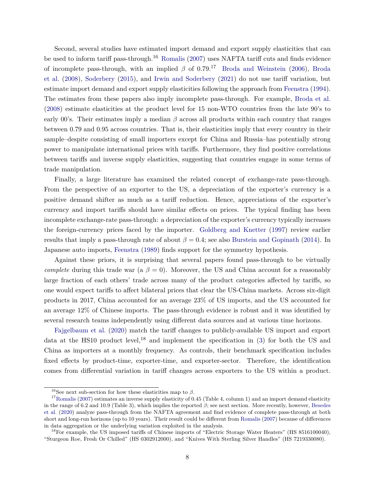Second, several studies have estimated import demand and export supply elasticities that can be used to inform tariff pass-through.<sup>16</sup> [Romalis](#page-27-8) [\(2007\)](#page-27-8) uses NAFTA tariff cuts and finds evidence of incomplete pass-through, with an implied  $\beta$  of 0.79.<sup>17</sup> [Broda and Weinstein](#page-24-9) [\(2006\)](#page-24-9), [Broda](#page-24-5) [et al.](#page-24-5) [\(2008\)](#page-24-5), [Soderbery](#page-27-9) [\(2015\)](#page-27-9), and [Irwin and Soderbery](#page-26-12) [\(2021\)](#page-26-12) do not use tariff variation, but estimate import demand and export supply elasticities following the approach from [Feenstra](#page-25-9) [\(1994\)](#page-25-9). The estimates from these papers also imply incomplete pass-through. For example, [Broda et al.](#page-24-5) [\(2008\)](#page-24-5) estimate elasticities at the product level for 15 non-WTO countries from the late 90's to early 00's. Their estimates imply a median  $\beta$  across all products within each country that ranges between 0*.*79 and 0*.*95 across countries. That is, their elasticities imply that every country in their sample–despite consisting of small importers except for China and Russia–has potentially strong power to manipulate international prices with tariffs. Furthermore, they find positive correlations between tariffs and inverse supply elasticities, suggesting that countries engage in some terms of trade manipulation.

Finally, a large literature has examined the related concept of exchange-rate pass-through. From the perspective of an exporter to the US, a depreciation of the exporter's currency is a positive demand shifter as much as a tariff reduction. Hence, appreciations of the exporter's currency and import tariffs should have similar effects on prices. The typical finding has been incomplete exchange-rate pass-through: a depreciation of the exporter's currency typically increases the foreign-currency prices faced by the importer. [Goldberg and Knetter](#page-25-10) [\(1997\)](#page-25-10) review earlier results that imply a pass-through rate of about  $\beta = 0.4$ ; see also [Burstein and Gopinath](#page-24-10) [\(2014\)](#page-24-10). In Japanese auto imports, [Feenstra](#page-25-8) [\(1989\)](#page-25-8) finds support for the symmetry hypothesis.

Against these priors, it is surprising that several papers found pass-through to be virtually *complete* during this trade war ( $a \beta = 0$ ). Moreover, the US and China account for a reasonably large fraction of each others' trade across many of the product categories affected by tariffs, so one would expect tariffs to affect bilateral prices that clear the US-China markets. Across six-digit products in 2017, China accounted for an average 23% of US imports, and the US accounted for an average 12% of Chinese imports. The pass-through evidence is robust and it was identified by several research teams independently using different data sources and at various time horizons.

[Fajgelbaum et al.](#page-25-1) [\(2020\)](#page-25-1) match the tariff changes to publicly-available US import and export data at the HS10 product level,<sup>18</sup> and implement the specification in [\(3\)](#page-7-1) for both the US and China as importers at a monthly frequency. As controls, their benchmark specification includes fixed effects by product-time, exporter-time, and exporter-sector. Therefore, the identification comes from differential variation in tariff changes across exporters to the US within a product.

<sup>&</sup>lt;sup>16</sup>See next sub-section for how these elasticities map to  $\beta$ .

 $17$ [Romalis](#page-27-8) [\(2007\)](#page-27-8) estimates an inverse supply elasticity of 0.45 (Table 4, column 1) and an import demand elasticity in the range of 6.2 and 10.9 (Table 3), which implies the reported *β*; see next section. More recently, however, [Besedes](#page-23-10) [et al.](#page-23-10) [\(2020\)](#page-23-10) analyze pass-through from the NAFTA agreement and find evidence of complete pass-through at both short and long-run horizons (up to 10 years). Their result could be different from [Romalis](#page-27-8) [\(2007\)](#page-27-8) because of differences in data aggregation or the underlying variation exploited in the analysis.

<sup>18</sup>For example, the US imposed tariffs of Chinese imports of "Electric Storage Water Heaters" (HS 8516100040), "Sturgeon Roe, Fresh Or Chilled" (HS 0302912000), and "Knives With Sterling Silver Handles" (HS 7219330080).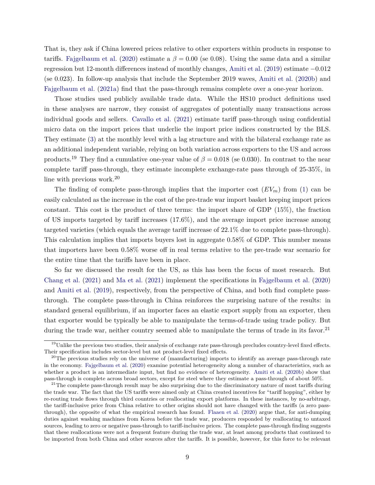That is, they ask if China lowered prices relative to other exporters within products in response to tariffs. [Fajgelbaum et al.](#page-25-1) [\(2020\)](#page-25-1) estimate a  $\beta = 0.00$  (se 0.08). Using the same data and a similar regression but 12-month differences instead of monthly changes, [Amiti et al.](#page-22-7) [\(2019\)](#page-22-7) estimate −0*.*012 (se 0*.*023). In follow-up analysis that include the September 2019 waves, [Amiti et al.](#page-22-8) [\(2020b\)](#page-22-8) and [Fajgelbaum et al.](#page-25-0) [\(2021a\)](#page-25-0) find that the pass-through remains complete over a one-year horizon.

Those studies used publicly available trade data. While the HS10 product definitions used in these analyses are narrow, they consist of aggregates of potentially many transactions across individual goods and sellers. [Cavallo et al.](#page-24-7) [\(2021\)](#page-24-7) estimate tariff pass-through using confidential micro data on the import prices that underlie the import price indices constructed by the BLS. They estimate [\(3\)](#page-7-1) at the monthly level with a lag structure and with the bilateral exchange rate as an additional independent variable, relying on both variation across exporters to the US and across products.<sup>19</sup> They find a cumulative one-year value of  $\beta = 0.018$  (se 0.030). In contrast to the near complete tariff pass-through, they estimate incomplete exchange-rate pass through of 25-35%, in line with previous work.<sup>20</sup>

The finding of complete pass-through implies that the importer cost  $(EV_m)$  from [\(1\)](#page-5-1) can be easily calculated as the increase in the cost of the pre-trade war import basket keeping import prices constant. This cost is the product of three terms: the import share of GDP (15%), the fraction of US imports targeted by tariff increases (17.6%), and the average import price increase among targeted varieties (which equals the average tariff increase of 22.1% due to complete pass-through). This calculation implies that imports buyers lost in aggregate 0.58% of GDP. This number means that importers have been 0.58% worse off in real terms relative to the pre-trade war scenario for the entire time that the tariffs have been in place.

So far we discussed the result for the US, as this has been the focus of most research. But [Chang et al.](#page-24-0) [\(2021\)](#page-24-0) and [Ma et al.](#page-27-10) [\(2021\)](#page-27-10) implement the specifications in [Fajgelbaum et al.](#page-25-1) [\(2020\)](#page-25-1) and [Amiti et al.](#page-22-7) [\(2019\)](#page-22-7), respectively, from the perspective of China, and both find complete passthrough. The complete pass-through in China reinforces the surprising nature of the results: in standard general equilibrium, if an importer faces an elastic export supply from an exporter, then that exporter would be typically be able to manipulate the terms-of-trade using trade policy. But during the trade war, neither country seemed able to manipulate the terms of trade in its favor.<sup>21</sup>

 $19$ Unlike the previous two studies, their analysis of exchange rate pass-through precludes country-level fixed effects. Their specification includes sector-level but not product-level fixed effects.

 $^{20}$ The previous studies rely on the universe of (manufacturing) imports to identify an average pass-through rate in the economy. [Fajgelbaum et al.](#page-25-1) [\(2020\)](#page-25-1) examine potential heterogeneity along a number of characteristics, such as whether a product is an intermediate input, but find no evidence of heterogeneity. [Amiti et al.](#page-22-8) [\(2020b\)](#page-22-8) show that pass-through is complete across broad sectors, except for steel where they estimate a pass-through of about 50%.

 $21$ The complete pass-through result may be also surprising due to the discriminatory nature of most tariffs during the trade war. The fact that the US tariffs were aimed only at China created incentives for "tariff hopping", either by re-routing trade flows through third countries or reallocating export platforms. In these instances, by no-arbitrage, the tariff-inclusive price from China relative to other origins should not have changed with the tariffs (a zero passthrough), the opposite of what the empirical research has found. [Flaaen et al.](#page-25-6) [\(2020\)](#page-25-6) argue that, for anti-dumping duties against washing machines from Korea before the trade war, producers responded by reallocating to untaxed sources, leading to zero or negative pass-through to tariff-inclusive prices. The complete pass-through finding suggests that these reallocations were not a frequent feature during the trade war, at least among products that continued to be imported from both China and other sources after the tariffs. It is possible, however, for this force to be relevant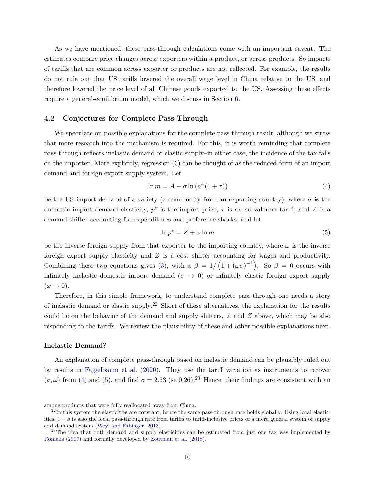As we have mentioned, these pass-through calculations come with an important caveat. The estimates compare price changes across exporters within a product, or across products. So impacts of tariffs that are common across exporter or products are not reflected. For example, the results do not rule out that US tariffs lowered the overall wage level in China relative to the US, and therefore lowered the price level of all Chinese goods exported to the US. Assessing these effects require a general-equilibrium model, which we discuss in Section [6.](#page-17-0)

### <span id="page-11-2"></span>**4.2 Conjectures for Complete Pass-Through**

We speculate on possible explanations for the complete pass-through result, although we stress that more research into the mechanism is required. For this, it is worth reminding that complete pass-through reflects inelastic demand or elastic supply–in either case, the incidence of the tax falls on the importer. More explicitly, regression [\(3\)](#page-7-1) can be thought of as the reduced-form of an import demand and foreign export supply system. Let

<span id="page-11-0"></span>
$$
\ln m = A - \sigma \ln \left( p^* \left( 1 + \tau \right) \right) \tag{4}
$$

be the US import demand of a variety (a commodity from an exporting country), where  $\sigma$  is the domestic import demand elasticity,  $p^*$  is the import price,  $\tau$  is an ad-valorem tariff, and *A* is a demand shifter accounting for expenditures and preference shocks; and let

<span id="page-11-1"></span>
$$
\ln p^* = Z + \omega \ln m \tag{5}
$$

be the inverse foreign supply from that exporter to the importing country, where  $\omega$  is the inverse foreign export supply elasticity and *Z* is a cost shifter accounting for wages and productivity. Combining these two equations gives [\(3\)](#page-7-1), with a  $\beta = 1/(1+(\omega \sigma)^{-1})$ . So  $\beta = 0$  occurs with infinitely inelastic domestic import demand  $(\sigma \to 0)$  or infinitely elastic foreign export supply  $(\omega \rightarrow 0).$ 

Therefore, in this simple framework, to understand complete pass-through one needs a story of inelastic demand or elastic supply.<sup>22</sup> Short of these alternatives, the explanation for the results could lie on the behavior of the demand and supply shifters, *A* and *Z* above, which may be also responding to the tariffs. We review the plausibility of these and other possible explanations next.

#### **Inelastic Demand?**

An explanation of complete pass-through based on inelastic demand can be plausibly ruled out by results in [Fajgelbaum et al.](#page-25-1) [\(2020\)](#page-25-1). They use the tariff variation as instruments to recover  $(\sigma, \omega)$  from [\(4\)](#page-11-0) and [\(5\)](#page-11-1), and find  $\sigma = 2.53$  (se 0.26).<sup>23</sup> Hence, their findings are consistent with an

among products that were fully reallocated away from China.

 $^{22}$ In this system the elasticities are constant, hence the same pass-through rate holds globally. Using local elasticities,  $1 - \beta$  is also the local pass-through rate from tariffs to tariff-inclusive prices of a more general system of supply and demand system [\(Weyl and Fabinger,](#page-28-2) [2013\)](#page-28-2).

<sup>&</sup>lt;sup>23</sup>The idea that both demand and supply elasticities can be estimated from just one tax was implemented by [Romalis](#page-27-8) [\(2007\)](#page-27-8) and formally developed by [Zoutman et al.](#page-28-3) [\(2018\)](#page-28-3).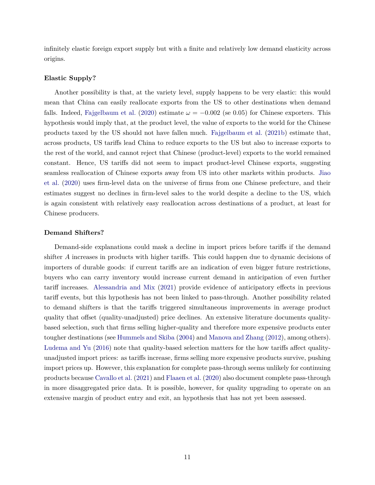infinitely elastic foreign export supply but with a finite and relatively low demand elasticity across origins.

### **Elastic Supply?**

Another possibility is that, at the variety level, supply happens to be very elastic: this would mean that China can easily reallocate exports from the US to other destinations when demand falls. Indeed, [Fajgelbaum et al.](#page-25-1) [\(2020\)](#page-25-1) estimate  $\omega = -0.002$  (se 0.05) for Chinese exporters. This hypothesis would imply that, at the product level, the value of exports to the world for the Chinese products taxed by the US should not have fallen much. [Fajgelbaum et al.](#page-25-11) [\(2021b\)](#page-25-11) estimate that, across products, US tariffs lead China to reduce exports to the US but also to increase exports to the rest of the world, and cannot reject that Chinese (product-level) exports to the world remained constant. Hence, US tariffs did not seem to impact product-level Chinese exports, suggesting seamless reallocation of Chinese exports away from US into other markets within products. [Jiao](#page-26-13) [et al.](#page-26-13) [\(2020\)](#page-26-13) uses firm-level data on the universe of firms from one Chinese prefecture, and their estimates suggest no declines in firm-level sales to the world despite a decline to the US, which is again consistent with relatively easy reallocation across destinations of a product, at least for Chinese producers.

#### **Demand Shifters?**

Demand-side explanations could mask a decline in import prices before tariffs if the demand shifter *A* increases in products with higher tariffs. This could happen due to dynamic decisions of importers of durable goods: if current tariffs are an indication of even bigger future restrictions, buyers who can carry inventory would increase current demand in anticipation of even further tariff increases. [Alessandria and Mix](#page-22-9) [\(2021\)](#page-22-9) provide evidence of anticipatory effects in previous tariff events, but this hypothesis has not been linked to pass-through. Another possibility related to demand shifters is that the tariffs triggered simultaneous improvements in average product quality that offset (quality-unadjusted) price declines. An extensive literature documents qualitybased selection, such that firms selling higher-quality and therefore more expensive products enter tougher destinations (see [Hummels and Skiba](#page-26-10) [\(2004\)](#page-26-10) and [Manova and Zhang](#page-27-11) [\(2012\)](#page-27-11), among others). [Ludema and Yu](#page-27-7) [\(2016\)](#page-27-7) note that quality-based selection matters for the how tariffs affect qualityunadjusted import prices: as tariffs increase, firms selling more expensive products survive, pushing import prices up. However, this explanation for complete pass-through seems unlikely for continuing products because [Cavallo et al.](#page-24-7) [\(2021\)](#page-24-7) and [Flaaen et al.](#page-25-6) [\(2020\)](#page-25-6) also document complete pass-through in more disaggregated price data. It is possible, however, for quality upgrading to operate on an extensive margin of product entry and exit, an hypothesis that has not yet been assessed.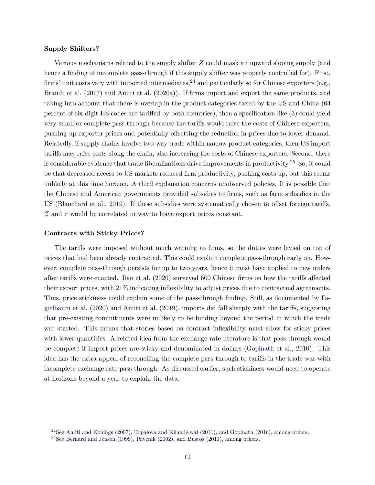#### **Supply Shifters?**

Various mechanisms related to the supply shifter *Z* could mask an upward sloping supply (and hence a finding of incomplete pass-through if this supply shifter was properly controlled for). First, firms' unit costs vary with imported intermediates,  $^{24}$  and particularly so for Chinese exporters (e.g., [Brandt et al.](#page-23-11) [\(2017\)](#page-23-11) and [Amiti et al.](#page-22-10) [\(2020a\)](#page-22-10)). If firms import and export the same products, and taking into account that there is overlap in the product categories taxed by the US and China (64 percent of six-digit HS codes are tariffed by both countries), then a specification like [\(3\)](#page-7-1) could yield very small or complete pass-through because the tariffs would raise the costs of Chinese exporters, pushing up exporter prices and potentially offsetting the reduction in prices due to lower demand. Relatedly, if supply chains involve two-way trade within narrow product categories, then US import tariffs may raise costs along the chain, also increasing the costs of Chinese exporters. Second, there is considerable evidence that trade liberalizations drive improvements in productivity.<sup>25</sup> So, it could be that decreased access to US markets reduced firm productivity, pushing costs up, but this seems unlikely at this time horizon. A third explanation concerns unobserved policies. It is possible that the Chinese and American governments provided subsidies to firms, such as farm subsidies in the US [\(Blanchard et al.,](#page-23-4) [2019\)](#page-23-4). If these subsidies were systematically chosen to offset foreign tariffs, *Z* and *τ* would be correlated in way to leave export prices constant.

#### **Contracts with Sticky Prices?**

The tariffs were imposed without much warning to firms, so the duties were levied on top of prices that had been already contracted. This could explain complete pass-through early on. However, complete pass-through persists for up to two years, hence it must have applied to new orders after tariffs were enacted. [Jiao et al.](#page-26-13) [\(2020\)](#page-26-13) surveyed 600 Chinese firms on how the tariffs affected their export prices, with 21% indicating inflexibility to adjust prices due to contractual agreements. Thus, price stickiness could explain some of the pass-through finding. Still, as documented by [Fa](#page-25-1)[jgelbaum et al.](#page-25-1) [\(2020\)](#page-25-1) and [Amiti et al.](#page-22-7) [\(2019\)](#page-22-7), imports did fall sharply with the tariffs, suggesting that pre-existing commitments were unlikely to be binding beyond the period in which the trade war started. This means that stories based on contract inflexibility must allow for sticky prices with lower quantities. A related idea from the exchange-rate literature is that pass-through would be complete if import prices are sticky and denominated in dollars [\(Gopinath et al.,](#page-25-12) [2010\)](#page-25-12). This idea has the extra appeal of reconciling the complete pass-through to tariffs in the trade war with incomplete exchange rate pass-through. As discussed earlier, such stickiness would need to operate at horizons beyond a year to explain the data.

<sup>&</sup>lt;sup>24</sup>See [Amiti and Konings](#page-22-11) [\(2007\)](#page-22-11), [Topalova and Khandelwal](#page-28-4) [\(2011\)](#page-28-4), and [Gopinath](#page-25-13) [\(2016\)](#page-25-13), among others.

 $^{25}$ See [Bernard and Jensen](#page-23-12) [\(1999\)](#page-23-12), [Pavcnik](#page-27-12) [\(2002\)](#page-27-12), and [Bustos](#page-24-11) [\(2011\)](#page-24-11), among others.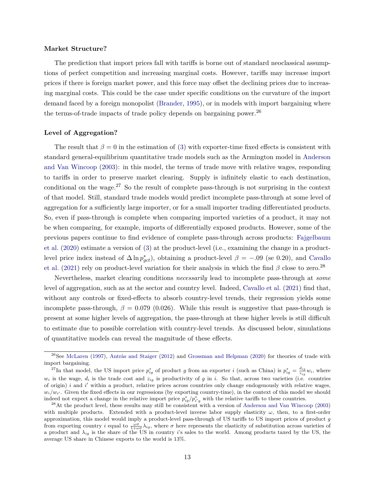#### **Market Structure?**

The prediction that import prices fall with tariffs is borne out of standard neoclassical assumptions of perfect competition and increasing marginal costs. However, tariffs may increase import prices if there is foreign market power, and this force may offset the declining prices due to increasing marginal costs. This could be the case under specific conditions on the curvature of the import demand faced by a foreign monopolist [\(Brander,](#page-23-13) [1995\)](#page-23-13), or in models with import bargaining where the terms-of-trade impacts of trade policy depends on bargaining power.<sup>26</sup>

#### **Level of Aggregation?**

The result that  $\beta = 0$  in the estimation of [\(3\)](#page-7-1) with exporter-time fixed effects is consistent with standard general-equilibrium quantitative trade models such as the Armington model in [Anderson](#page-22-12) [and Van Wincoop](#page-22-12) [\(2003\)](#page-22-12): in this model, the terms of trade move with relative wages, responding to tariffs in order to preserve market clearing. Supply is infinitely elastic to each destination, conditional on the wage.<sup>27</sup> So the result of complete pass-through is not surprising in the context of that model. Still, standard trade models would predict incomplete pass-through at some level of aggregation for a sufficiently large importer, or for a small importer trading differentiated products. So, even if pass-through is complete when comparing imported varieties of a product, it may not be when comparing, for example, imports of differentially exposed products. However, some of the previous papers continue to find evidence of complete pass-through across products: [Fajgelbaum](#page-25-1) [et al.](#page-25-1) [\(2020\)](#page-25-1) estimate a version of [\(3\)](#page-7-1) at the product-level (i.e., examining the change in a productlevel price index instead of  $\Delta \ln p_{gct}^*$ , obtaining a product-level  $\beta = -.09$  (se 0.20), and [Cavallo](#page-24-7) [et al.](#page-24-7) [\(2021\)](#page-24-7) rely on product-level variation for their analysis in which the find  $\beta$  close to zero.<sup>28</sup>

Nevertheless, market clearing conditions *necessarily* lead to incomplete pass-through at *some* level of aggregation, such as at the sector and country level. Indeed, [Cavallo et al.](#page-24-7) [\(2021\)](#page-24-7) find that, without any controls or fixed-effects to absorb country-level trends, their regression yields some incomplete pass-through,  $\beta = 0.079$  (0.026). While this result is suggestive that pass-through is present at some higher levels of aggregation, the pass-through at these higher levels is still difficult to estimate due to possible correlation with country-level trends. As discussed below, simulations of quantitative models can reveal the magnitude of these effects.

<sup>&</sup>lt;sup>26</sup>See [McLaren](#page-27-13) [\(1997\)](#page-27-13), [Antràs and Staiger](#page-22-13) [\(2012\)](#page-22-13) and [Grossman and Helpman](#page-25-14) [\(2020\)](#page-25-14) for theories of trade with import bargaining.

<sup>&</sup>lt;sup>27</sup>In that model, the US import price  $p_{ig}^*$  of product *g* from an exporter *i* (such as China) is  $p_{ig}^* = \frac{d_{ig}}{z_{io}}$  $\frac{a_{ig}}{z_{ig}}w_i$ , where  $w_i$  is the wage,  $d_i$  is the trade cost and  $z_{ig}$  is productivity of *g* in *i*. So that, across two varieties (i.e. countries of origin)  $i$  and  $i'$  within a product, relative prices across countries only change endogenously with relative wages,  $w_i/w_{i'}$ . Given the fixed effects in our regressions (by exporting country-time), in the context of this model we should indeed not expect a change in the relative import price  $p_{ij}^*/p_{i'g}^*$  with the relative tariffs to these countries.

 $^{28}$ At the product level, these results may still be consistent with a version of [Anderson and Van Wincoop](#page-22-12) [\(2003\)](#page-22-12) with multiple products. Extended with a product-level inverse labor supply elasticity  $\omega$ , then, to a first-order approximation, this model would imply a product-level pass-through of US tariffs to US import prices of product *g* from exporting country *i* equal to  $\frac{\omega \sigma}{1+\omega \sigma} \lambda_{ig}$ , where  $\sigma$  here represents the elasticity of substitution across varieties of a product and *λig* is the share of the US in country *i*'s sales to the world. Among products taxed by the US, the average US share in Chinese exports to the world is 13%.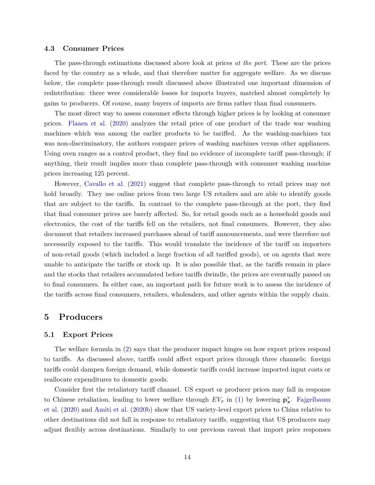### **4.3 Consumer Prices**

The pass-through estimations discussed above look at prices *at the port*. These are the prices faced by the country as a whole, and that therefore matter for aggregate welfare. As we discuss below, the complete pass-through result discussed above illustrated one important dimension of redistribution: there were considerable losses for imports buyers, matched almost completely by gains to producers. Of course, many buyers of imports are firms rather than final consumers.

The most direct way to assess consumer effects through higher prices is by looking at consumer prices. [Flaaen et al.](#page-25-6) [\(2020\)](#page-25-6) analyzes the retail price of one product of the trade war–washing machines–which was among the earlier products to be tariffed. As the washing-machines tax was non-discriminatory, the authors compare prices of washing machines versus other appliances. Using oven ranges as a control product, they find no evidence of incomplete tariff pass-through; if anything, their result implies more than complete pass-through with consumer washing machine prices increasing 125 percent.

However, [Cavallo et al.](#page-24-7) [\(2021\)](#page-24-7) suggest that complete pass-through to retail prices may not hold broadly. They use online prices from two large US retailers and are able to identify goods that are subject to the tariffs. In contrast to the complete pass-through at the port, they find that final consumer prices are barely affected. So, for retail goods such as a household goods and electronics, the cost of the tariffs fell on the retailers, not final consumers. However, they also document that retailers increased purchases ahead of tariff announcements, and were therefore not necessarily exposed to the tariffs. This would translate the incidence of the tariff on importers of non-retail goods (which included a large fraction of all tariffed goods), or on agents that were unable to anticipate the tariffs or stock up. It is also possible that, as the tariffs remain in place and the stocks that retailers accumulated before tariffs dwindle, the prices are eventually passed on to final consumers. In either case, an important path for future work is to assess the incidence of the tariffs across final consumers, retailers, wholesalers, and other agents within the supply chain.

## <span id="page-15-0"></span>**5 Producers**

### **5.1 Export Prices**

The welfare formula in [\(2\)](#page-5-0) says that the producer impact hinges on how export prices respond to tariffs. As discussed above, tariffs could affect export prices through three channels: foreign tariffs could dampen foreign demand, while domestic tariffs could increase imported input costs or reallocate expenditures to domestic goods.

Consider first the retaliatory tariff channel. US export or producer prices may fall in response to Chinese retaliation, leading to lower welfare through  $EV_x$  in [\(1\)](#page-5-1) by lowering  $\mathbf{p}_x^*$ . [Fajgelbaum](#page-25-1) [et al.](#page-25-1) [\(2020\)](#page-25-1) and [Amiti et al.](#page-22-8) [\(2020b\)](#page-22-8) show that US variety-level export prices to China relative to other destinations did not fall in response to retaliatory tariffs, suggesting that US producers may adjust flexibly across destinations. Similarly to our previous caveat that import price responses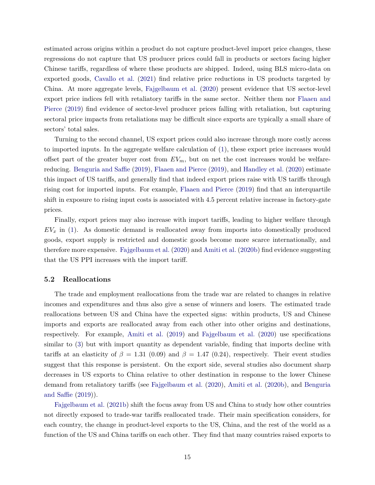estimated across origins within a product do not capture product-level import price changes, these regressions do not capture that US producer prices could fall in products or sectors facing higher Chinese tariffs, regardless of where these products are shipped. Indeed, using BLS micro-data on exported goods, [Cavallo et al.](#page-24-7) [\(2021\)](#page-24-7) find relative price reductions in US products targeted by China. At more aggregate levels, [Fajgelbaum et al.](#page-25-1) [\(2020\)](#page-25-1) present evidence that US sector-level export price indices fell with retaliatory tariffs in the same sector. Neither them nor [Flaaen and](#page-25-15) [Pierce](#page-25-15) [\(2019\)](#page-25-15) find evidence of sector-level producer prices falling with retaliation, but capturing sectoral price impacts from retaliations may be difficult since exports are typically a small share of sectors' total sales.

Turning to the second channel, US export prices could also increase through more costly access to imported inputs. In the aggregate welfare calculation of [\(1\)](#page-5-1), these export price increases would offset part of the greater buyer cost from  $EV_m$ , but on net the cost increases would be welfarereducing. [Benguria and Saffie](#page-23-14) [\(2019\)](#page-23-14), [Flaaen and Pierce](#page-25-15) [\(2019\)](#page-25-15), and [Handley et al.](#page-26-14) [\(2020\)](#page-26-14) estimate this impact of US tariffs, and generally find that indeed export prices raise with US tariffs through rising cost for imported inputs. For example, [Flaaen and Pierce](#page-25-15) [\(2019\)](#page-25-15) find that an interquartile shift in exposure to rising input costs is associated with 4.5 percent relative increase in factory-gate prices.

Finally, export prices may also increase with import tariffs, leading to higher welfare through *EV<sup>x</sup>* in [\(1\)](#page-5-1). As domestic demand is reallocated away from imports into domestically produced goods, export supply is restricted and domestic goods become more scarce internationally, and therefore more expensive. [Fajgelbaum et al.](#page-25-1) [\(2020\)](#page-25-1) and [Amiti et al.](#page-22-8) [\(2020b\)](#page-22-8) find evidence suggesting that the US PPI increases with the import tariff.

### **5.2 Reallocations**

The trade and employment reallocations from the trade war are related to changes in relative incomes and expenditures and thus also give a sense of winners and losers. The estimated trade reallocations between US and China have the expected signs: within products, US and Chinese imports and exports are reallocated away from each other into other origins and destinations, respectively. For example, [Amiti et al.](#page-22-7) [\(2019\)](#page-22-7) and [Fajgelbaum et al.](#page-25-1) [\(2020\)](#page-25-1) use specifications similar to [\(3\)](#page-7-1) but with import quantity as dependent variable, finding that imports decline with tariffs at an elasticity of  $\beta = 1.31$  (0.09) and  $\beta = 1.47$  (0.24), respectively. Their event studies suggest that this response is persistent. On the export side, several studies also document sharp decreases in US exports to China relative to other destination in response to the lower Chinese demand from retaliatory tariffs (see [Fajgelbaum et al.](#page-25-1) [\(2020\)](#page-25-1), [Amiti et al.](#page-22-8) [\(2020b\)](#page-22-8), and [Benguria](#page-23-14) [and Saffie](#page-23-14) [\(2019\)](#page-23-14)).

[Fajgelbaum et al.](#page-25-11) [\(2021b\)](#page-25-11) shift the focus away from US and China to study how other countries not directly exposed to trade-war tariffs reallocated trade. Their main specification considers, for each country, the change in product-level exports to the US, China, and the rest of the world as a function of the US and China tariffs on each other. They find that many countries raised exports to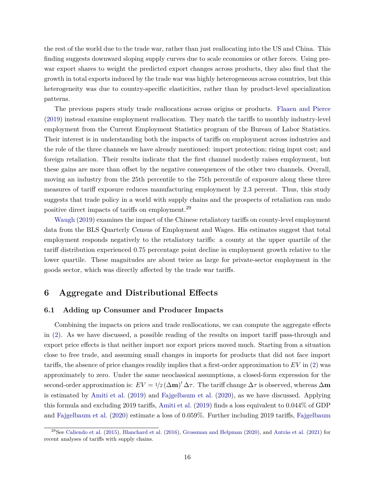the rest of the world due to the trade war, rather than just reallocating into the US and China. This finding suggests downward sloping supply curves due to scale economies or other forces. Using prewar export shares to weight the predicted export changes across products, they also find that the growth in total exports induced by the trade war was highly heterogeneous across countries, but this heterogeneity was due to country-specific elasticities, rather than by product-level specialization patterns.

The previous papers study trade reallocations across origins or products. [Flaaen and Pierce](#page-25-15) [\(2019\)](#page-25-15) instead examine employment reallocation. They match the tariffs to monthly industry-level employment from the Current Employment Statistics program of the Bureau of Labor Statistics. Their interest is in understanding both the impacts of tariffs on employment across industries and the role of the three channels we have already mentioned: import protection; rising input cost; and foreign retaliation. Their results indicate that the first channel modestly raises employment, but these gains are more than offset by the negative consequences of the other two channels. Overall, moving an industry from the 25th percentile to the 75th percentile of exposure along these three measures of tariff exposure reduces manufacturing employment by 2.3 percent. Thus, this study suggests that trade policy in a world with supply chains and the prospects of retaliation can undo positive direct impacts of tariffs on employment.<sup>29</sup>

[Waugh](#page-28-5) [\(2019\)](#page-28-5) examines the impact of the Chinese retaliatory tariffs on county-level employment data from the BLS Quarterly Census of Employment and Wages. His estimates suggest that total employment responds negatively to the retaliatory tariffs: a county at the upper quartile of the tariff distribution experienced 0.75 percentage point decline in employment growth relative to the lower quartile. These magnitudes are about twice as large for private-sector employment in the goods sector, which was directly affected by the trade war tariffs.

## <span id="page-17-0"></span>**6 Aggregate and Distributional Effects**

## **6.1 Adding up Consumer and Producer Impacts**

Combining the impacts on prices and trade reallocations, we can compute the aggregate effects in [\(2\)](#page-5-0). As we have discussed, a possible reading of the results on import tariff pass-through and export price effects is that neither import nor export prices moved much. Starting from a situation close to free trade, and assuming small changes in imports for products that did not face import tariffs, the absence of price changes readily implies that a first-order approximation to *EV* in [\(2\)](#page-5-0) was approximately to zero. Under the same neoclassical assumptions, a closed-form expression for the second-order approximation is:  $EV = 1/2 (\Delta m)' \Delta \tau$ . The tariff change  $\Delta \tau$  is observed, whereas  $\Delta m$ is estimated by [Amiti et al.](#page-22-7) [\(2019\)](#page-22-7) and [Fajgelbaum et al.](#page-25-1) [\(2020\)](#page-25-1), as we have discussed. Applying this formula and excluding 2019 tariffs, [Amiti et al.](#page-22-7) [\(2019\)](#page-22-7) finds a loss equivalent to 0*.*044% of GDP and [Fajgelbaum et al.](#page-25-1) [\(2020\)](#page-25-1) estimate a loss of 0*.*059%. Further including 2019 tariffs, [Fajgelbaum](#page-25-0)

<sup>&</sup>lt;sup>29</sup>See [Caliendo et al.](#page-24-12) [\(2015\)](#page-24-12), [Blanchard et al.](#page-23-15) [\(2016\)](#page-23-15), [Grossman and Helpman](#page-25-0) [\(2020\)](#page-25-14), and [Antràs et al.](#page-22-14) [\(2021\)](#page-22-14) for [recent analyses of tariffs with supply chains.](#page-25-0)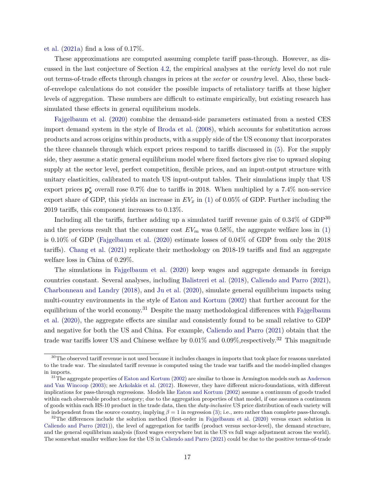[et al.](#page-25-0) [\(2021a\)](#page-25-0) find a loss of 0*.*17%.

These approximations are computed assuming complete tariff pass-through. However, as discussed in the last conjecture of Section [4.2,](#page-11-2) the empirical analyses at the *variety* level do not rule out terms-of-trade effects through changes in prices at the *sector* or *country* level. Also, these backof-envelope calculations do not consider the possible impacts of retaliatory tariffs at these higher levels of aggregation. These numbers are difficult to estimate empirically, but existing research has simulated these effects in general equilibrium models.

[Fajgelbaum et al.](#page-25-1) [\(2020\)](#page-25-1) combine the demand-side parameters estimated from a nested CES import demand system in the style of [Broda et al.](#page-24-5) [\(2008\)](#page-24-5), which accounts for substitution across products and across origins within products, with a supply side of the US economy that incorporates the three channels through which export prices respond to tariffs discussed in [\(5\)](#page-15-0). For the supply side, they assume a static general equilibrium model where fixed factors give rise to upward sloping supply at the sector level, perfect competition, flexible prices, and an input-output structure with unitary elasticities, calibrated to match US input-output tables. Their simulations imply that US export prices **p** ∗ **<sup>x</sup>** overall rose 0*.*7% due to tariffs in 2018. When multiplied by a 7*.*4% non-service export share of GDP, this yields an increase in  $EV_x$  in [\(1\)](#page-5-1) of 0.05% of GDP. Further including the 2019 tariffs, this component increases to 0.13%.

Including all the tariffs, further adding up a simulated tariff revenue gain of 0.34% of GDP<sup>30</sup> and the previous result that the consumer cost  $EV_m$  was 0.58%, the aggregate welfare loss in [\(1\)](#page-5-1) is 0*.*10% of GDP [\(Fajgelbaum et al.](#page-25-1) [\(2020\)](#page-25-1) estimate losses of 0*.*04% of GDP from only the 2018 tariffs). [Chang et al.](#page-24-0) [\(2021\)](#page-24-0) replicate their methodology on 2018-19 tariffs and find an aggregate welfare loss in China of 0.29%.

The simulations in [Fajgelbaum et al.](#page-25-1) [\(2020\)](#page-25-1) keep wages and aggregate demands in foreign countries constant. Several analyses, including [Balistreri et al.](#page-23-16) [\(2018\)](#page-23-16), [Caliendo and Parro](#page-24-13) [\(2021\)](#page-24-13), [Charbonneau and Landry](#page-24-14) [\(2018\)](#page-24-14), and [Ju et al.](#page-26-15) [\(2020\)](#page-26-15), simulate general equilibrium impacts using multi-country environments in the style of [Eaton and Kortum](#page-25-16) [\(2002\)](#page-25-16) that further account for the equilibrium of the world economy.<sup>31</sup> Despite the many methodological differences with [Fajgelbaum](#page-25-1) [et al.](#page-25-1) [\(2020\)](#page-25-1), the aggregate effects are similar and consistently found to be small relative to GDP and negative for both the US and China. For example, [Caliendo and Parro](#page-24-13) [\(2021\)](#page-24-13) obtain that the trade war tariffs lower US and Chinese welfare by 0*.*01% and 0*.*09%*,*respectively.<sup>32</sup> This magnitude

 $30$ The observed tariff revenue is not used because it includes changes in imports that took place for reasons unrelated to the trade war. The simulated tariff revenue is computed using the trade war tariffs and the model-implied changes in imports.

 $31$ The aggregate properties of [Eaton and Kortum](#page-25-16) [\(2002\)](#page-25-16) are similar to those in Armington models such as [Anderson](#page-22-12) [and Van Wincoop](#page-22-12) [\(2003\)](#page-22-12); see [Arkolakis et al.](#page-22-15) [\(2012\)](#page-22-15). However, they have different micro-foundations, with different implications for pass-through regressions. Models like [Eaton and Kortum](#page-25-16) [\(2002\)](#page-25-16) assume a continuum of goods traded within each observable product category; due to the aggregation properties of that model, if one assumes a continuum of goods within each HS-10 product in the trade data, then the *duty-inclusive* US price distribution of each variety will be independent from the source country, implying  $\beta = 1$  in regression [\(3\)](#page-7-1); i.e., zero rather than complete pass-through.

 $32$ The differences include the solution method (first-order in [Fajgelbaum et al.](#page-25-1) [\(2020\)](#page-25-1) versus exact solution in [Caliendo and Parro](#page-24-13) [\(2021\)](#page-24-13)), the level of aggregation for tariffs (product versus sector-level), the demand structure, and the general equilibrium analysis (fixed wages everywhere but in the US vs full wage adjustment across the world). The somewhat smaller welfare loss for the US in [Caliendo and Parro](#page-24-13) [\(2021\)](#page-24-13) could be due to the positive terms-of-trade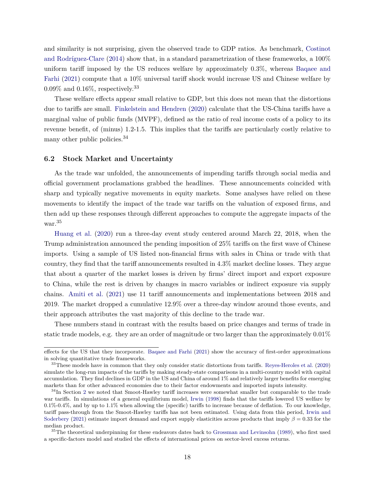and similarity is not surprising, given the observed trade to GDP ratios. As benchmark, [Costinot](#page-24-15) [and Rodríguez-Clare](#page-24-15) [\(2014\)](#page-24-15) show that, in a standard parametrization of these frameworks, a 100% uniform tariff imposed by the US reduces welfare by approximately 0*.*3%, whereas [Baqaee and](#page-23-5) [Farhi](#page-23-5) [\(2021\)](#page-23-5) compute that a 10% universal tariff shock would increase US and Chinese welfare by  $0.09\%$  and  $0.16\%$ , respectively.<sup>33</sup>

These welfare effects appear small relative to GDP, but this does not mean that the distortions due to tariffs are small. [Finkelstein and Hendren](#page-25-17) [\(2020\)](#page-25-17) calculate that the US-China tariffs have a marginal value of public funds (MVPF), defined as the ratio of real income costs of a policy to its revenue benefit, of (minus) 1.2-1.5. This implies that the tariffs are particularly costly relative to many other public policies.<sup>34</sup>

### **6.2 Stock Market and Uncertainty**

As the trade war unfolded, the announcements of impending tariffs through social media and official government proclamations grabbed the headlines. These announcements coincided with sharp and typically negative movements in equity markets. Some analyses have relied on these movements to identify the impact of the trade war tariffs on the valuation of exposed firms, and then add up these responses through different approaches to compute the aggregate impacts of the war.<sup>35</sup>

[Huang et al.](#page-26-16) [\(2020\)](#page-26-16) run a three-day event study centered around March 22, 2018, when the Trump administration announced the pending imposition of 25% tariffs on the first wave of Chinese imports. Using a sample of US listed non-financial firms with sales in China or trade with that country, they find that the tariff announcements resulted in 4.3% market decline losses. They argue that about a quarter of the market losses is driven by firms' direct import and export exposure to China, while the rest is driven by changes in macro variables or indirect exposure via supply chains. [Amiti et al.](#page-22-16) [\(2021\)](#page-22-16) use 11 tariff announcements and implementations between 2018 and 2019. The market dropped a cumulative 12.9% over a three-day window around those events, and their approach attributes the vast majority of this decline to the trade war.

These numbers stand in contrast with the results based on price changes and terms of trade in static trade models, e.g. they are an order of magnitude or two larger than the approximately 0.01%

effects for the US that they incorporate. [Baqaee and Farhi](#page-23-5) [\(2021\)](#page-23-5) show the accuracy of first-order approximations in solving quantitative trade frameworks.

 $33$ These models have in common that they only consider static distortions from tariffs. [Reyes-Heroles et al.](#page-27-14) [\(2020\)](#page-27-14) simulate the long-run impacts of the tariffs by making steady-state comparisons in a multi-country model with capital accumulation. They find declines in GDP in the US and China of around 1% and relatively larger benefits for emerging markets than for other advanced economies due to their factor endowments and imported inputs intensity.

<sup>&</sup>lt;sup>34</sup>In Section [2](#page-2-0) we noted that Smoot-Hawley tariff increases were somewhat smaller but comparable to the trade war tariffs. In simulations of a general equilibrium model, [Irwin](#page-26-0) [\(1998\)](#page-26-0) finds that the tariffs lowered US welfare by 0.1%-0.4%, and by up to 1.1% when allowing the (specific) tariffs to increase because of deflation. To our knowledge, tariff pass-through from the Smoot-Hawley tariffs has not been estimated. Using data from this period, [Irwin and](#page-26-12) [Soderbery](#page-26-12) [\(2021\)](#page-26-12) estimate import demand and export supply elasticities across products that imply *β* = 0*.*33 for the median product.

<sup>&</sup>lt;sup>35</sup>The theoretical underpinning for these endeavors dates back to [Grossman and Levinsohn](#page-25-18) [\(1989\)](#page-25-18), who first used a specific-factors model and studied the effects of international prices on sector-level excess returns.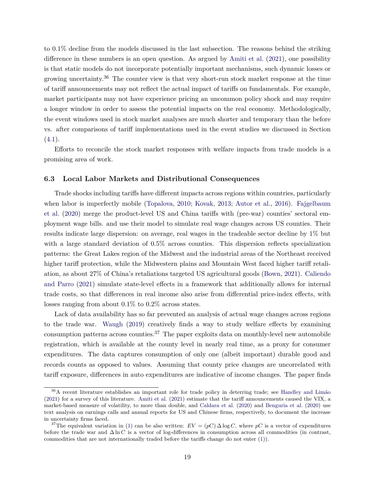to 0.1% decline from the models discussed in the last subsection. The reasons behind the striking difference in these numbers is an open question. As argued by [Amiti et al.](#page-22-16) [\(2021\)](#page-22-16), one possibility is that static models do not incorporate potentially important mechanisms, such dynamic losses or growing uncertainty.<sup>36</sup> The counter view is that very short-run stock market response at the time of tariff announcements may not reflect the actual impact of tariffs on fundamentals. For example, market participants may not have experience pricing an uncommon policy shock and may require a longer window in order to assess the potential impacts on the real economy. Methodologically, the event windows used in stock market analyses are much shorter and temporary than the before vs. after comparisons of tariff implementations used in the event studies we discussed in Section  $(4.1).$  $(4.1).$ 

Efforts to reconcile the stock market responses with welfare impacts from trade models is a promising area of work.

### **6.3 Local Labor Markets and Distributional Consequences**

Trade shocks including tariffs have different impacts across regions within countries, particularly when labor is imperfectly mobile [\(Topalova,](#page-27-15) [2010;](#page-27-15) [Kovak,](#page-26-17) [2013;](#page-26-17) [Autor et al.,](#page-22-1) [2016\)](#page-22-1). [Fajgelbaum](#page-25-1) [et al.](#page-25-1) [\(2020\)](#page-25-1) merge the product-level US and China tariffs with (pre-war) counties' sectoral employment wage bills. and use their model to simulate real wage changes across US counties. Their results indicate large dispersion: on average, real wages in the tradeable sector decline by 1% but with a large standard deviation of 0.5% across counties. This dispersion reflects specialization patterns: the Great Lakes region of the Midwest and the industrial areas of the Northeast received higher tariff protection, while the Midwestern plains and Mountain West faced higher tariff retaliation, as about 27% of China's retaliations targeted US agricultural goods [\(Bown,](#page-23-1) [2021\)](#page-23-1). [Caliendo](#page-24-13) [and Parro](#page-24-13) [\(2021\)](#page-24-13) simulate state-level effects in a framework that additionally allows for internal trade costs, so that differences in real income also arise from differential price-index effects, with losses ranging from about 0*.*1% to 0*.*2% across states.

Lack of data availability has so far prevented an analysis of actual wage changes across regions to the trade war. [Waugh](#page-28-5) [\(2019\)](#page-28-5) creatively finds a way to study welfare effects by examining consumption patterns across counties.<sup>37</sup> The paper exploits data on monthly-level new automobile registration, which is available at the county level in nearly real time, as a proxy for consumer expenditures. The data captures consumption of only one (albeit important) durable good and records counts as opposed to values. Assuming that county price changes are uncorrelated with tariff exposure, differences in auto expenditures are indicative of income changes. The paper finds

<sup>36</sup>A recent literature establishes an important role for trade policy in deterring trade; see [Handley and Limão](#page-26-18) [\(2021\)](#page-26-18) for a survey of this literature. [Amiti et al.](#page-22-16) [\(2021\)](#page-22-16) estimate that the tariff announcements caused the VIX, a market-based measure of volatility, to more than double, and [Caldara et al.](#page-24-16) [\(2020\)](#page-24-16) and [Benguria et al.](#page-23-17) [\(2020\)](#page-23-17) use text analysis on earnings calls and annual reports for US and Chinese firms, respectively, to document the increase in uncertainty firms faced.

<sup>&</sup>lt;sup>37</sup>The equivalent variation in [\(1\)](#page-5-1) can be also written:  $EV = (pC) \Delta \log C$ , where pC is a vector of expenditures before the trade war and ∆ ln *C* is a vector of log-differences in consumption across all commodities (in contrast, commodities that are not internationally traded before the tariffs change do not enter [\(1\)](#page-5-1)).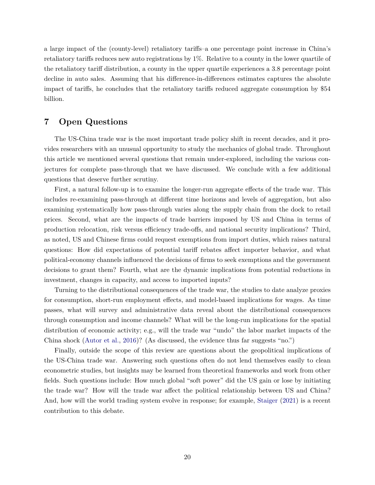a large impact of the (county-level) retaliatory tariffs–a one percentage point increase in China's retaliatory tariffs reduces new auto registrations by 1%. Relative to a county in the lower quartile of the retaliatory tariff distribution, a county in the upper quartile experiences a 3.8 percentage point decline in auto sales. Assuming that his difference-in-differences estimates captures the absolute impact of tariffs, he concludes that the retaliatory tariffs reduced aggregate consumption by \$54 billion.

# **7 Open Questions**

The US-China trade war is the most important trade policy shift in recent decades, and it provides researchers with an unusual opportunity to study the mechanics of global trade. Throughout this article we mentioned several questions that remain under-explored, including the various conjectures for complete pass-through that we have discussed. We conclude with a few additional questions that deserve further scrutiny.

First, a natural follow-up is to examine the longer-run aggregate effects of the trade war. This includes re-examining pass-through at different time horizons and levels of aggregation, but also examining systematically how pass-through varies along the supply chain from the dock to retail prices. Second, what are the impacts of trade barriers imposed by US and China in terms of production relocation, risk versus efficiency trade-offs, and national security implications? Third, as noted, US and Chinese firms could request exemptions from import duties, which raises natural questions: How did expectations of potential tariff rebates affect importer behavior, and what political-economy channels influenced the decisions of firms to seek exemptions and the government decisions to grant them? Fourth, what are the dynamic implications from potential reductions in investment, changes in capacity, and access to imported inputs?

Turning to the distributional consequences of the trade war, the studies to date analyze proxies for consumption, short-run employment effects, and model-based implications for wages. As time passes, what will survey and administrative data reveal about the distributional consequences through consumption and income channels? What will be the long-run implications for the spatial distribution of economic activity; e.g., will the trade war "undo" the labor market impacts of the China shock [\(Autor et al.,](#page-22-1) [2016\)](#page-22-1)? (As discussed, the evidence thus far suggests "no.")

Finally, outside the scope of this review are questions about the geopolitical implications of the US-China trade war. Answering such questions often do not lend themselves easily to clean econometric studies, but insights may be learned from theoretical frameworks and work from other fields. Such questions include: How much global "soft power" did the US gain or lose by initiating the trade war? How will the trade war affect the political relationship between US and China? And, how will the world trading system evolve in response; for example, [Staiger](#page-27-16) [\(2021\)](#page-27-16) is a recent contribution to this debate.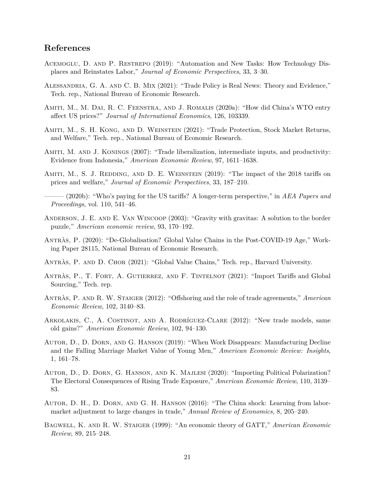# **References**

- <span id="page-22-3"></span>Acemoglu, D. and P. Restrepo (2019): "Automation and New Tasks: How Technology Displaces and Reinstates Labor," *Journal of Economic Perspectives*, 33, 3–30.
- <span id="page-22-9"></span>Alessandria, G. A. and C. B. Mix (2021): "Trade Policy is Real News: Theory and Evidence," Tech. rep., National Bureau of Economic Research.
- <span id="page-22-10"></span>Amiti, M., M. Dai, R. C. Feenstra, and J. Romalis (2020a): "How did China's WTO entry affect US prices?" *Journal of International Economics*, 126, 103339.
- <span id="page-22-16"></span>Amiti, M., S. H. Kong, and D. Weinstein (2021): "Trade Protection, Stock Market Returns, and Welfare," Tech. rep., National Bureau of Economic Research.
- <span id="page-22-11"></span>Amiti, M. and J. Konings (2007): "Trade liberalization, intermediate inputs, and productivity: Evidence from Indonesia," *American Economic Review*, 97, 1611–1638.
- <span id="page-22-7"></span>AMITI, M., S. J. REDDING, AND D. E. WEINSTEIN (2019): "The impact of the 2018 tariffs on prices and welfare," *Journal of Economic Perspectives*, 33, 187–210.
- <span id="page-22-8"></span>——— (2020b): "Who's paying for the US tariffs? A longer-term perspective," in *AEA Papers and Proceedings*, vol. 110, 541–46.
- <span id="page-22-12"></span>Anderson, J. E. and E. Van Wincoop (2003): "Gravity with gravitas: A solution to the border puzzle," *American economic review*, 93, 170–192.
- <span id="page-22-4"></span>Antràs, P. (2020): "De-Globalisation? Global Value Chains in the Post-COVID-19 Age," Working Paper 28115, National Bureau of Economic Research.
- <span id="page-22-0"></span>Antràs, P. and D. Chor (2021): "Global Value Chains," Tech. rep., Harvard University.
- <span id="page-22-14"></span>ANTRÀS, P., T. FORT, A. GUTIERREZ, AND F. TINTELNOT (2021): "Import Tariffs and Global Sourcing," Tech. rep.
- <span id="page-22-13"></span>Antràs, P. and R. W. Staiger (2012): "Offshoring and the role of trade agreements," *American Economic Review*, 102, 3140–83.
- <span id="page-22-15"></span>Arkolakis, C., A. Costinot, and A. Rodríguez-Clare (2012): "New trade models, same old gains?" *American Economic Review*, 102, 94–130.
- <span id="page-22-2"></span>Autor, D., D. Dorn, and G. Hanson (2019): "When Work Disappears: Manufacturing Decline and the Falling Marriage Market Value of Young Men," *American Economic Review: Insights*, 1, 161–78.
- <span id="page-22-5"></span>Autor, D., D. Dorn, G. Hanson, and K. Majlesi (2020): "Importing Political Polarization? The Electoral Consequences of Rising Trade Exposure," *American Economic Review*, 110, 3139– 83.
- <span id="page-22-1"></span>Autor, D. H., D. Dorn, and G. H. Hanson (2016): "The China shock: Learning from labormarket adjustment to large changes in trade," *Annual Review of Economics*, 8, 205–240.
- <span id="page-22-6"></span>Bagwell, K. and R. W. Staiger (1999): "An economic theory of GATT," *American Economic Review*, 89, 215–248.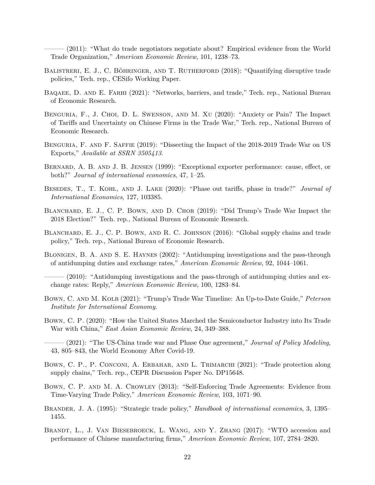<span id="page-23-6"></span> $(2011)$ : "What do trade negotiators negotiate about? Empirical evidence from the World Trade Organization," *American Economic Review*, 101, 1238–73.

- <span id="page-23-16"></span>Balistreri, E. J., C. Böhringer, and T. Rutherford (2018): "Quantifying disruptive trade policies," Tech. rep., CESifo Working Paper.
- <span id="page-23-5"></span>BAQAEE, D. AND E. FARHI (2021): "Networks, barriers, and trade," Tech. rep., National Bureau of Economic Research.
- <span id="page-23-17"></span>Benguria, F., J. Choi, D. L. Swenson, and M. Xu (2020): "Anxiety or Pain? The Impact of Tariffs and Uncertainty on Chinese Firms in the Trade War," Tech. rep., National Bureau of Economic Research.
- <span id="page-23-14"></span>Benguria, F. and F. Saffie (2019): "Dissecting the Impact of the 2018-2019 Trade War on US Exports," *Available at SSRN 3505413*.
- <span id="page-23-12"></span>BERNARD, A. B. AND J. B. JENSEN (1999): "Exceptional exporter performance: cause, effect, or both?" *Journal of international economics*, 47, 1–25.
- <span id="page-23-10"></span>Besedes, T., T. Kohl, and J. Lake (2020): "Phase out tariffs, phase in trade?" *Journal of International Economics*, 127, 103385.
- <span id="page-23-4"></span>BLANCHARD, E. J., C. P. BOWN, AND D. CHOR (2019): "Did Trump's Trade War Impact the 2018 Election?" Tech. rep., National Bureau of Economic Research.
- <span id="page-23-15"></span>BLANCHARD, E. J., C. P. BOWN, AND R. C. JOHNSON (2016): "Global supply chains and trade policy," Tech. rep., National Bureau of Economic Research.
- <span id="page-23-8"></span>Blonigen, B. A. and S. E. Haynes (2002): "Antidumping investigations and the pass-through of antidumping duties and exchange rates," *American Economic Review*, 92, 1044–1061.
- <span id="page-23-9"></span>– (2010): "Antidumping investigations and the pass-through of antidumping duties and exchange rates: Reply," *American Economic Review*, 100, 1283–84.
- <span id="page-23-0"></span>Bown, C. and M. Kolb (2021): "Trump's Trade War Timeline: An Up-to-Date Guide," *Peterson Institute for International Economy*.
- <span id="page-23-2"></span>Bown, C. P. (2020): "How the United States Marched the Semiconductor Industry into Its Trade War with China," *East Asian Economic Review*, 24, 349–388.
- <span id="page-23-1"></span>——— (2021): "The US-China trade war and Phase One agreement," *Journal of Policy Modeling*, 43, 805–843, the World Economy After Covid-19.
- <span id="page-23-3"></span>BOWN, C. P., P. CONCONI, A. ERBAHAR, AND L. TRIMARCHI (2021): "Trade protection along supply chains," Tech. rep., CEPR Discussion Paper No. DP15648.
- <span id="page-23-7"></span>Bown, C. P. and M. A. Crowley (2013): "Self-Enforcing Trade Agreements: Evidence from Time-Varying Trade Policy," *American Economic Review*, 103, 1071–90.
- <span id="page-23-13"></span>Brander, J. A. (1995): "Strategic trade policy," *Handbook of international economics*, 3, 1395– 1455.
- <span id="page-23-11"></span>BRANDT, L., J. VAN BIESEBROECK, L. WANG, AND Y. ZHANG (2017): "WTO accession and performance of Chinese manufacturing firms," *American Economic Review*, 107, 2784–2820.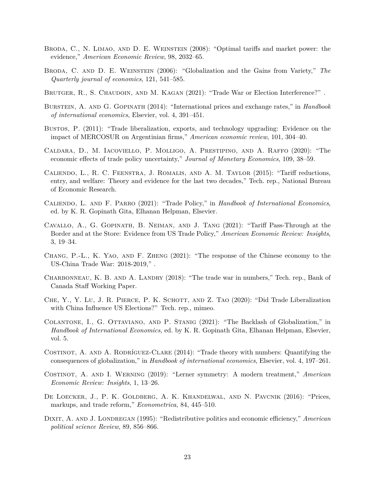- <span id="page-24-5"></span>Broda, C., N. Limao, and D. E. Weinstein (2008): "Optimal tariffs and market power: the evidence," *American Economic Review*, 98, 2032–65.
- <span id="page-24-9"></span>Broda, C. and D. E. Weinstein (2006): "Globalization and the Gains from Variety," *The Quarterly journal of economics*, 121, 541–585.
- <span id="page-24-4"></span>BRUTGER, R., S. CHAUDOIN, AND M. KAGAN (2021): "Trade War or Election Interference?".
- <span id="page-24-10"></span>Burstein, A. and G. Gopinath (2014): "International prices and exchange rates," in *Handbook of international economics*, Elsevier, vol. 4, 391–451.
- <span id="page-24-11"></span>Bustos, P. (2011): "Trade liberalization, exports, and technology upgrading: Evidence on the impact of MERCOSUR on Argentinian firms," *American economic review*, 101, 304–40.
- <span id="page-24-16"></span>Caldara, D., M. Iacoviello, P. Molligo, A. Prestipino, and A. Raffo (2020): "The economic effects of trade policy uncertainty," *Journal of Monetary Economics*, 109, 38–59.
- <span id="page-24-12"></span>Caliendo, L., R. C. Feenstra, J. Romalis, and A. M. Taylor (2015): "Tariff reductions, entry, and welfare: Theory and evidence for the last two decades," Tech. rep., National Bureau of Economic Research.
- <span id="page-24-13"></span>Caliendo, L. and F. Parro (2021): "Trade Policy," in *Handbook of International Economics*, ed. by K. R. Gopinath Gita, Elhanan Helpman, Elsevier.
- <span id="page-24-7"></span>Cavallo, A., G. Gopinath, B. Neiman, and J. Tang (2021): "Tariff Pass-Through at the Border and at the Store: Evidence from US Trade Policy," *American Economic Review: Insights*, 3, 19–34.
- <span id="page-24-0"></span>Chang, P.-L., K. Yao, and F. Zheng (2021): "The response of the Chinese economy to the US-China Trade War: 2018-2019," .
- <span id="page-24-14"></span>CHARBONNEAU, K. B. AND A. LANDRY (2018): "The trade war in numbers," Tech. rep., Bank of Canada Staff Working Paper.
- <span id="page-24-3"></span>CHE, Y., Y. LU, J. R. PIERCE, P. K. SCHOTT, AND Z. TAO (2020): "Did Trade Liberalization with China Influence US Elections?" Tech. rep., mimeo.
- <span id="page-24-2"></span>Colantone, I., G. Ottaviano, and P. Stanig (2021): "The Backlash of Globalization," in *Handbook of International Economics*, ed. by K. R. Gopinath Gita, Elhanan Helpman, Elsevier, vol. 5.
- <span id="page-24-15"></span>COSTINOT, A. AND A. RODRÍGUEZ-CLARE (2014): "Trade theory with numbers: Quantifying the consequences of globalization," in *Handbook of international economics*, Elsevier, vol. 4, 197–261.
- <span id="page-24-6"></span>Costinot, A. and I. Werning (2019): "Lerner symmetry: A modern treatment," *American Economic Review: Insights*, 1, 13–26.
- <span id="page-24-8"></span>DE LOECKER, J., P. K. GOLDBERG, A. K. KHANDELWAL, AND N. PAVCNIK (2016): "Prices, markups, and trade reform," *Econometrica*, 84, 445–510.
- <span id="page-24-1"></span>DIXIT, A. AND J. LONDREGAN (1995): "Redistributive politics and economic efficiency," *American political science Review*, 89, 856–866.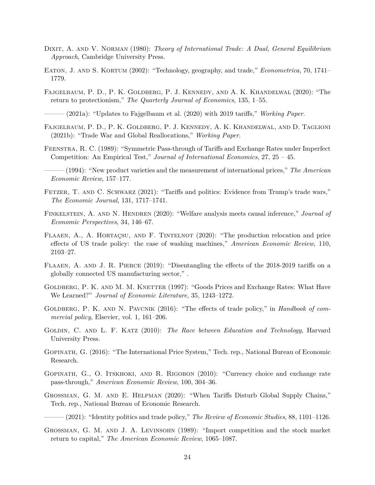- <span id="page-25-4"></span>DIXIT, A. AND V. NORMAN (1980): *Theory of International Trade: A Dual, General Equilibrium Approach*, Cambridge University Press.
- <span id="page-25-16"></span>Eaton, J. and S. Kortum (2002): "Technology, geography, and trade," *Econometrica*, 70, 1741– 1779.
- <span id="page-25-1"></span>Fajgelbaum, P. D., P. K. Goldberg, P. J. Kennedy, and A. K. Khandelwal (2020): "The return to protectionism," *The Quarterly Journal of Economics*, 135, 1–55.

<span id="page-25-0"></span>——— (2021a): "Updates to Fajgelbaum et al. (2020) with 2019 tariffs," *Working Paper*.

- <span id="page-25-11"></span>Fajgelbaum, P. D., P. K. Goldberg, P. J. Kennedy, A. K. Khandelwal, and D. Taglioni (2021b): "Trade War and Global Reallocations," *Working Paper*.
- <span id="page-25-8"></span>Feenstra, R. C. (1989): "Symmetric Pass-through of Tariffs and Exchange Rates under Imperfect Competition: An Empirical Test," *Journal of International Economics*, 27, 25 – 45.
- <span id="page-25-9"></span>——— (1994): "New product varieties and the measurement of international prices," *The American Economic Review*, 157–177.
- <span id="page-25-5"></span>FETZER, T. AND C. SCHWARZ (2021): "Tariffs and politics: Evidence from Trump's trade wars," *The Economic Journal*, 131, 1717–1741.
- <span id="page-25-17"></span>FINKELSTEIN, A. AND N. HENDREN (2020): "Welfare analysis meets causal inference," *Journal of Economic Perspectives*, 34, 146–67.
- <span id="page-25-6"></span>Flaaen, A., A. Hortaçsu, and F. Tintelnot (2020): "The production relocation and price effects of US trade policy: the case of washing machines," *American Economic Review*, 110, 2103–27.
- <span id="page-25-15"></span>FLAAEN, A. AND J. R. PIERCE (2019): "Disentangling the effects of the 2018-2019 tariffs on a globally connected US manufacturing sector," .
- <span id="page-25-10"></span>GOLDBERG, P. K. AND M. M. KNETTER (1997): "Goods Prices and Exchange Rates: What Have We Learned?" *Journal of Economic Literature*, 35, 1243–1272.
- <span id="page-25-7"></span>GOLDBERG, P. K. AND N. PAVCNIK (2016): "The effects of trade policy," in *Handbook of commercial policy*, Elsevier, vol. 1, 161–206.
- <span id="page-25-2"></span>Goldin, C. and L. F. Katz (2010): *The Race between Education and Technology*, Harvard University Press.
- <span id="page-25-13"></span>Gopinath, G. (2016): "The International Price System," Tech. rep., National Bureau of Economic Research.
- <span id="page-25-12"></span>GOPINATH, G., O. ITSKHOKI, AND R. RIGOBON (2010): "Currency choice and exchange rate pass-through," *American Economic Review*, 100, 304–36.
- <span id="page-25-14"></span>Grossman, G. M. and E. Helpman (2020): "When Tariffs Disturb Global Supply Chains," Tech. rep., National Bureau of Economic Research.

<span id="page-25-3"></span>——— (2021): "Identity politics and trade policy," *The Review of Economic Studies*, 88, 1101–1126.

<span id="page-25-18"></span>GROSSMAN, G. M. AND J. A. LEVINSOHN (1989): "Import competition and the stock market return to capital," *The American Economic Review*, 1065–1087.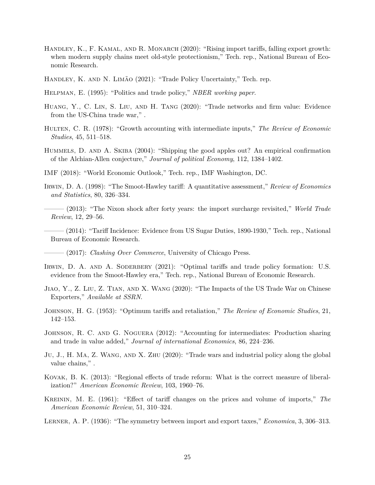- <span id="page-26-14"></span>HANDLEY, K., F. KAMAL, AND R. MONARCH (2020): "Rising import tariffs, falling export growth: when modern supply chains meet old-style protectionism," Tech. rep., National Bureau of Economic Research.
- <span id="page-26-18"></span>Handley, K. and N. Limão (2021): "Trade Policy Uncertainty," Tech. rep.
- <span id="page-26-5"></span>Helpman, E. (1995): "Politics and trade policy," *NBER working paper*.
- <span id="page-26-16"></span>Huang, Y., C. Lin, S. Liu, and H. Tang (2020): "Trade networks and firm value: Evidence from the US-China trade war," .
- <span id="page-26-7"></span>Hulten, C. R. (1978): "Growth accounting with intermediate inputs," *The Review of Economic Studies*, 45, 511–518.
- <span id="page-26-10"></span>Hummels, D. and A. Skiba (2004): "Shipping the good apples out? An empirical confirmation of the Alchian-Allen conjecture," *Journal of political Economy*, 112, 1384–1402.
- <span id="page-26-2"></span>IMF (2018): "World Economic Outlook," Tech. rep., IMF Washington, DC.
- <span id="page-26-0"></span>Irwin, D. A. (1998): "The Smoot-Hawley tariff: A quantitative assessment," *Review of Economics and Statistics*, 80, 326–334.
- <span id="page-26-4"></span> $-$  (2013): "The Nixon shock after forty years: the import surcharge revisited," *World Trade Review*, 12, 29–56.
- <span id="page-26-11"></span>——— (2014): "Tariff Incidence: Evidence from US Sugar Duties, 1890-1930," Tech. rep., National Bureau of Economic Research.
- <span id="page-26-1"></span>——— (2017): *Clashing Over Commerce*, University of Chicago Press.
- <span id="page-26-12"></span>IRWIN, D. A. AND A. SODERBERY (2021): "Optimal tariffs and trade policy formation: U.S. evidence from the Smoot-Hawley era," Tech. rep., National Bureau of Economic Research.
- <span id="page-26-13"></span>Jiao, Y., Z. Liu, Z. Tian, and X. Wang (2020): "The Impacts of the US Trade War on Chinese Exporters," *Available at SSRN*.
- <span id="page-26-8"></span>Johnson, H. G. (1953): "Optimum tariffs and retaliation," *The Review of Economic Studies*, 21, 142–153.
- <span id="page-26-3"></span>JOHNSON, R. C. AND G. NOGUERA (2012): "Accounting for intermediates: Production sharing and trade in value added," *Journal of international Economics*, 86, 224–236.
- <span id="page-26-15"></span>Ju, J., H. MA, Z. WANG, AND X. ZHU (2020): "Trade wars and industrial policy along the global value chains," .
- <span id="page-26-17"></span>Kovak, B. K. (2013): "Regional effects of trade reform: What is the correct measure of liberalization?" *American Economic Review*, 103, 1960–76.
- <span id="page-26-9"></span>Kreinin, M. E. (1961): "Effect of tariff changes on the prices and volume of imports," *The American Economic Review*, 51, 310–324.
- <span id="page-26-6"></span>Lerner, A. P. (1936): "The symmetry between import and export taxes," *Economica*, 3, 306–313.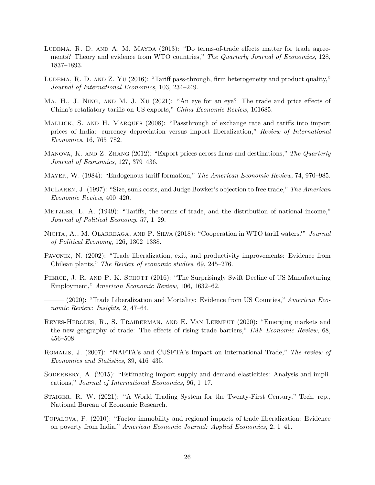- <span id="page-27-4"></span>LUDEMA, R. D. AND A. M. MAYDA (2013): "Do terms-of-trade effects matter for trade agreements? Theory and evidence from WTO countries," *The Quarterly Journal of Economics*, 128, 1837–1893.
- <span id="page-27-7"></span>LUDEMA, R. D. AND Z. YU (2016): "Tariff pass-through, firm heterogeneity and product quality," *Journal of International Economics*, 103, 234–249.
- <span id="page-27-10"></span>Ma, H., J. Ning, and M. J. Xu (2021): "An eye for an eye? The trade and price effects of China's retaliatory tariffs on US exports," *China Economic Review*, 101685.
- <span id="page-27-6"></span>Mallick, S. and H. Marques (2008): "Passthrough of exchange rate and tariffs into import prices of India: currency depreciation versus import liberalization," *Review of International Economics*, 16, 765–782.
- <span id="page-27-11"></span>Manova, K. and Z. Zhang (2012): "Export prices across firms and destinations," *The Quarterly Journal of Economics*, 127, 379–436.
- <span id="page-27-2"></span>Mayer, W. (1984): "Endogenous tariff formation," *The American Economic Review*, 74, 970–985.
- <span id="page-27-13"></span>McLaren, J. (1997): "Size, sunk costs, and Judge Bowker's objection to free trade," *The American Economic Review*, 400–420.
- <span id="page-27-3"></span>Metzler, L. A. (1949): "Tariffs, the terms of trade, and the distribution of national income," *Journal of Political Economy*, 57, 1–29.
- <span id="page-27-5"></span>Nicita, A., M. Olarreaga, and P. Silva (2018): "Cooperation in WTO tariff waters?" *Journal of Political Economy*, 126, 1302–1338.
- <span id="page-27-12"></span>PAVCNIK, N. (2002): "Trade liberalization, exit, and productivity improvements: Evidence from Chilean plants," *The Review of economic studies*, 69, 245–276.
- <span id="page-27-0"></span>PIERCE, J. R. AND P. K. SCHOTT (2016): "The Surprisingly Swift Decline of US Manufacturing Employment," *American Economic Review*, 106, 1632–62.
- <span id="page-27-1"></span>(2020): "Trade Liberalization and Mortality: Evidence from US Counties," *American Economic Review: Insights*, 2, 47–64.
- <span id="page-27-14"></span>Reyes-Heroles, R., S. Traiberman, and E. Van Leemput (2020): "Emerging markets and the new geography of trade: The effects of rising trade barriers," *IMF Economic Review*, 68, 456–508.
- <span id="page-27-8"></span>Romalis, J. (2007): "NAFTA's and CUSFTA's Impact on International Trade," *The review of Economics and Statistics*, 89, 416–435.
- <span id="page-27-9"></span>SODERBERY, A. (2015): "Estimating import supply and demand elasticities: Analysis and implications," *Journal of International Economics*, 96, 1–17.
- <span id="page-27-16"></span>Staiger, R. W. (2021): "A World Trading System for the Twenty-First Century," Tech. rep., National Bureau of Economic Research.
- <span id="page-27-15"></span>Topalova, P. (2010): "Factor immobility and regional impacts of trade liberalization: Evidence on poverty from India," *American Economic Journal: Applied Economics*, 2, 1–41.